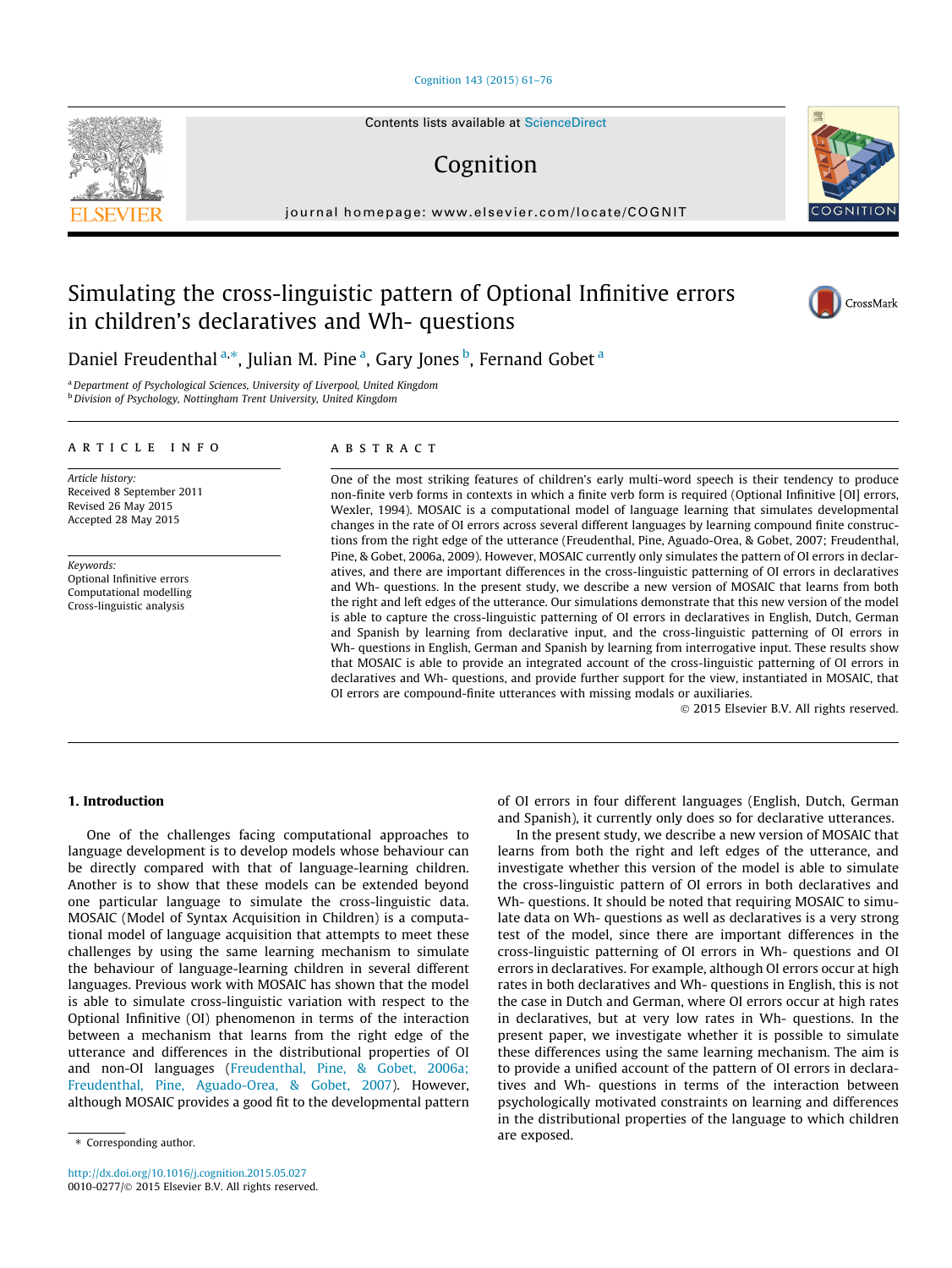#### [Cognition 143 \(2015\) 61–76](http://dx.doi.org/10.1016/j.cognition.2015.05.027)

Contents lists available at [ScienceDirect](http://www.sciencedirect.com/science/journal/00100277)

# Cognition

journal homepage: [www.elsevier.com/locate/COGNIT](http://www.elsevier.com/locate/COGNIT)

# Simulating the cross-linguistic pattern of Optional Infinitive errors in children's declaratives and Wh- questions



Daniel Freudenthal <sup>a,</sup>\*, Julian M. Pine <sup>a</sup>, Gary Jones <sup>b</sup>, Fernand Gobet <sup>a</sup>

<sup>a</sup>Department of Psychological Sciences, University of Liverpool, United Kingdom b Division of Psychology, Nottingham Trent University, United Kingdom

### article info

Article history: Received 8 September 2011 Revised 26 May 2015 Accepted 28 May 2015

Keywords: Optional Infinitive errors Computational modelling Cross-linguistic analysis

#### ABSTRACT

One of the most striking features of children's early multi-word speech is their tendency to produce non-finite verb forms in contexts in which a finite verb form is required (Optional Infinitive [OI] errors, Wexler, 1994). MOSAIC is a computational model of language learning that simulates developmental changes in the rate of OI errors across several different languages by learning compound finite constructions from the right edge of the utterance (Freudenthal, Pine, Aguado-Orea, & Gobet, 2007; Freudenthal, Pine, & Gobet, 2006a, 2009). However, MOSAIC currently only simulates the pattern of OI errors in declaratives, and there are important differences in the cross-linguistic patterning of OI errors in declaratives and Wh- questions. In the present study, we describe a new version of MOSAIC that learns from both the right and left edges of the utterance. Our simulations demonstrate that this new version of the model is able to capture the cross-linguistic patterning of OI errors in declaratives in English, Dutch, German and Spanish by learning from declarative input, and the cross-linguistic patterning of OI errors in Wh- questions in English, German and Spanish by learning from interrogative input. These results show that MOSAIC is able to provide an integrated account of the cross-linguistic patterning of OI errors in declaratives and Wh- questions, and provide further support for the view, instantiated in MOSAIC, that OI errors are compound-finite utterances with missing modals or auxiliaries.

- 2015 Elsevier B.V. All rights reserved.

#### 1. Introduction

One of the challenges facing computational approaches to language development is to develop models whose behaviour can be directly compared with that of language-learning children. Another is to show that these models can be extended beyond one particular language to simulate the cross-linguistic data. MOSAIC (Model of Syntax Acquisition in Children) is a computational model of language acquisition that attempts to meet these challenges by using the same learning mechanism to simulate the behaviour of language-learning children in several different languages. Previous work with MOSAIC has shown that the model is able to simulate cross-linguistic variation with respect to the Optional Infinitive (OI) phenomenon in terms of the interaction between a mechanism that learns from the right edge of the utterance and differences in the distributional properties of OI and non-OI languages [\(Freudenthal, Pine, & Gobet, 2006a;](#page-15-0) [Freudenthal, Pine, Aguado-Orea, & Gobet, 2007](#page-15-0)). However, although MOSAIC provides a good fit to the developmental pattern of OI errors in four different languages (English, Dutch, German and Spanish), it currently only does so for declarative utterances.

In the present study, we describe a new version of MOSAIC that learns from both the right and left edges of the utterance, and investigate whether this version of the model is able to simulate the cross-linguistic pattern of OI errors in both declaratives and Wh- questions. It should be noted that requiring MOSAIC to simulate data on Wh- questions as well as declaratives is a very strong test of the model, since there are important differences in the cross-linguistic patterning of OI errors in Wh- questions and OI errors in declaratives. For example, although OI errors occur at high rates in both declaratives and Wh- questions in English, this is not the case in Dutch and German, where OI errors occur at high rates in declaratives, but at very low rates in Wh- questions. In the present paper, we investigate whether it is possible to simulate these differences using the same learning mechanism. The aim is to provide a unified account of the pattern of OI errors in declaratives and Wh- questions in terms of the interaction between psychologically motivated constraints on learning and differences in the distributional properties of the language to which children are exposed.



<sup>⇑</sup> Corresponding author.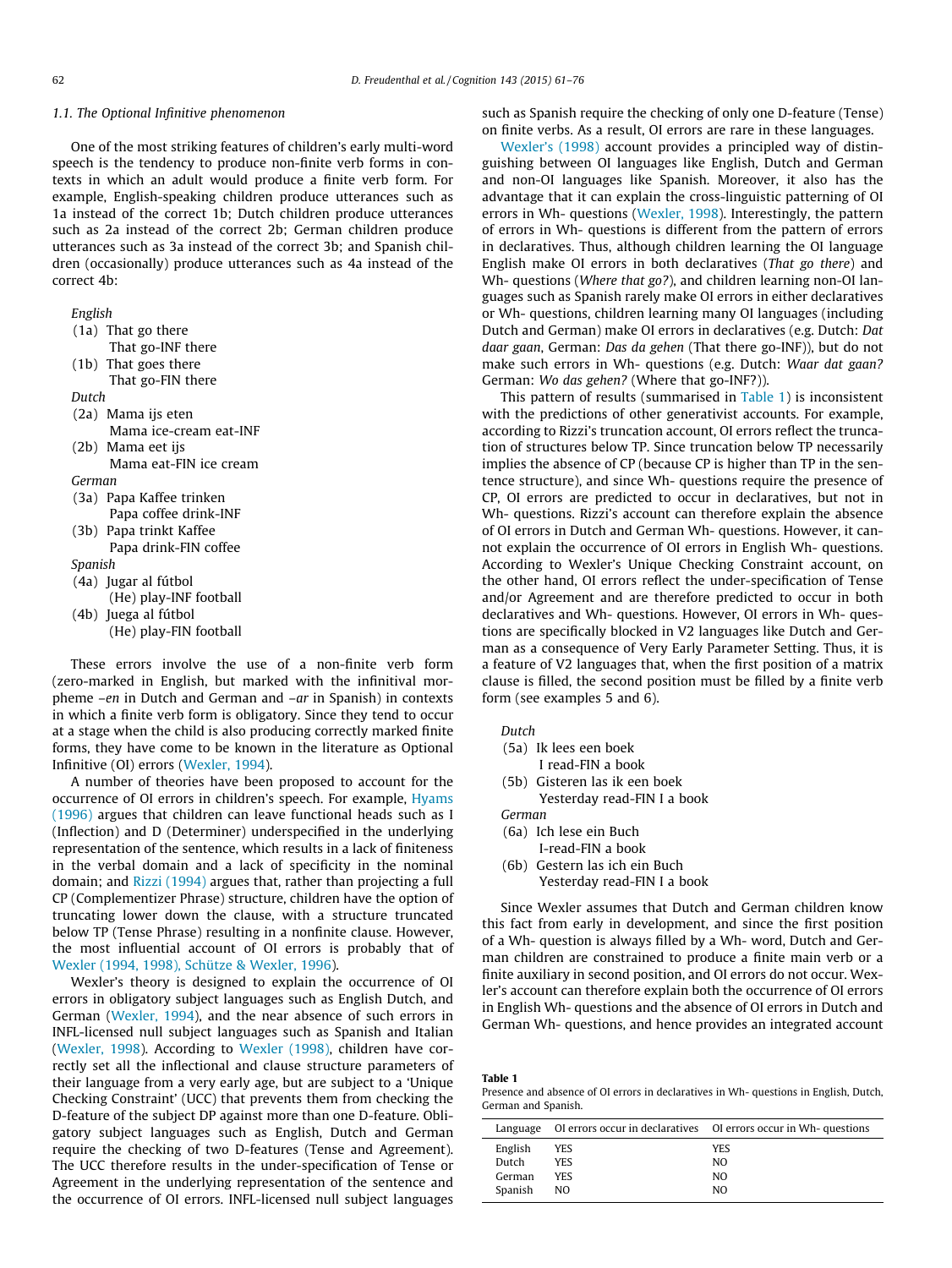#### 1.1. The Optional Infinitive phenomenon

One of the most striking features of children's early multi-word speech is the tendency to produce non-finite verb forms in contexts in which an adult would produce a finite verb form. For example, English-speaking children produce utterances such as 1a instead of the correct 1b; Dutch children produce utterances such as 2a instead of the correct 2b; German children produce utterances such as 3a instead of the correct 3b; and Spanish children (occasionally) produce utterances such as 4a instead of the correct 4b:

# English

- (1a) That go there
- That go-INF there
- (1b) That goes there
- That go-FIN there

Dutch

- (2a) Mama ijs eten
- Mama ice-cream eat-INF (2b) Mama eet ijs
- Mama eat-FIN ice cream German
- 
- (3a) Papa Kaffee trinken Papa coffee drink-INF
- (3b) Papa trinkt Kaffee Papa drink-FIN coffee

Spanish

- (4a) Jugar al fútbol
- (He) play-INF football (4b) Juega al fútbol
	- (He) play-FIN football

These errors involve the use of a non-finite verb form (zero-marked in English, but marked with the infinitival morpheme –en in Dutch and German and –ar in Spanish) in contexts in which a finite verb form is obligatory. Since they tend to occur at a stage when the child is also producing correctly marked finite forms, they have come to be known in the literature as Optional Infinitive (OI) errors ([Wexler, 1994\)](#page-15-0).

A number of theories have been proposed to account for the occurrence of OI errors in children's speech. For example, [Hyams](#page-15-0) [\(1996\)](#page-15-0) argues that children can leave functional heads such as I (Inflection) and D (Determiner) underspecified in the underlying representation of the sentence, which results in a lack of finiteness in the verbal domain and a lack of specificity in the nominal domain; and [Rizzi \(1994\)](#page-15-0) argues that, rather than projecting a full CP (Complementizer Phrase) structure, children have the option of truncating lower down the clause, with a structure truncated below TP (Tense Phrase) resulting in a nonfinite clause. However, the most influential account of OI errors is probably that of [Wexler \(1994, 1998\), Schütze & Wexler, 1996](#page-15-0)).

Wexler's theory is designed to explain the occurrence of OI errors in obligatory subject languages such as English Dutch, and German ([Wexler, 1994\)](#page-15-0), and the near absence of such errors in INFL-licensed null subject languages such as Spanish and Italian ([Wexler, 1998\)](#page-15-0). According to [Wexler \(1998\)](#page-15-0), children have correctly set all the inflectional and clause structure parameters of their language from a very early age, but are subject to a 'Unique Checking Constraint' (UCC) that prevents them from checking the D-feature of the subject DP against more than one D-feature. Obligatory subject languages such as English, Dutch and German require the checking of two D-features (Tense and Agreement). The UCC therefore results in the under-specification of Tense or Agreement in the underlying representation of the sentence and the occurrence of OI errors. INFL-licensed null subject languages such as Spanish require the checking of only one D-feature (Tense) on finite verbs. As a result, OI errors are rare in these languages.

[Wexler's \(1998\)](#page-15-0) account provides a principled way of distinguishing between OI languages like English, Dutch and German and non-OI languages like Spanish. Moreover, it also has the advantage that it can explain the cross-linguistic patterning of OI errors in Wh- questions ([Wexler, 1998\)](#page-15-0). Interestingly, the pattern of errors in Wh- questions is different from the pattern of errors in declaratives. Thus, although children learning the OI language English make OI errors in both declaratives (That go there) and Wh- questions (Where that go?), and children learning non-OI languages such as Spanish rarely make OI errors in either declaratives or Wh- questions, children learning many OI languages (including Dutch and German) make OI errors in declaratives (e.g. Dutch: Dat daar gaan, German: Das da gehen (That there go-INF)), but do not make such errors in Wh- questions (e.g. Dutch: Waar dat gaan? German: Wo das gehen? (Where that go-INF?)).

This pattern of results (summarised in Table 1) is inconsistent with the predictions of other generativist accounts. For example, according to Rizzi's truncation account, OI errors reflect the truncation of structures below TP. Since truncation below TP necessarily implies the absence of CP (because CP is higher than TP in the sentence structure), and since Wh- questions require the presence of CP, OI errors are predicted to occur in declaratives, but not in Wh- questions. Rizzi's account can therefore explain the absence of OI errors in Dutch and German Wh- questions. However, it cannot explain the occurrence of OI errors in English Wh- questions. According to Wexler's Unique Checking Constraint account, on the other hand, OI errors reflect the under-specification of Tense and/or Agreement and are therefore predicted to occur in both declaratives and Wh- questions. However, OI errors in Wh- questions are specifically blocked in V2 languages like Dutch and German as a consequence of Very Early Parameter Setting. Thus, it is a feature of V2 languages that, when the first position of a matrix clause is filled, the second position must be filled by a finite verb form (see examples 5 and 6).

Dutch

- (5a) Ik lees een boek I read-FIN a book
- (5b) Gisteren las ik een boek Yesterday read-FIN I a book

German

- (6a) Ich lese ein Buch
- I-read-FIN a book
- (6b) Gestern las ich ein Buch Yesterday read-FIN I a book

Since Wexler assumes that Dutch and German children know this fact from early in development, and since the first position of a Wh- question is always filled by a Wh- word, Dutch and German children are constrained to produce a finite main verb or a finite auxiliary in second position, and OI errors do not occur. Wexler's account can therefore explain both the occurrence of OI errors in English Wh- questions and the absence of OI errors in Dutch and German Wh- questions, and hence provides an integrated account

| rad | г |  |
|-----|---|--|
|-----|---|--|

Presence and absence of OI errors in declaratives in Wh- questions in English, Dutch, German and Spanish.

|         |            | Language OI errors occur in declaratives OI errors occur in Wh- questions |
|---------|------------|---------------------------------------------------------------------------|
| English | YES        | YFS                                                                       |
| Dutch   | YFS.       | N <sub>O</sub>                                                            |
| German  | <b>YFS</b> | N <sub>O</sub>                                                            |
| Spanish | NO.        | N <sub>O</sub>                                                            |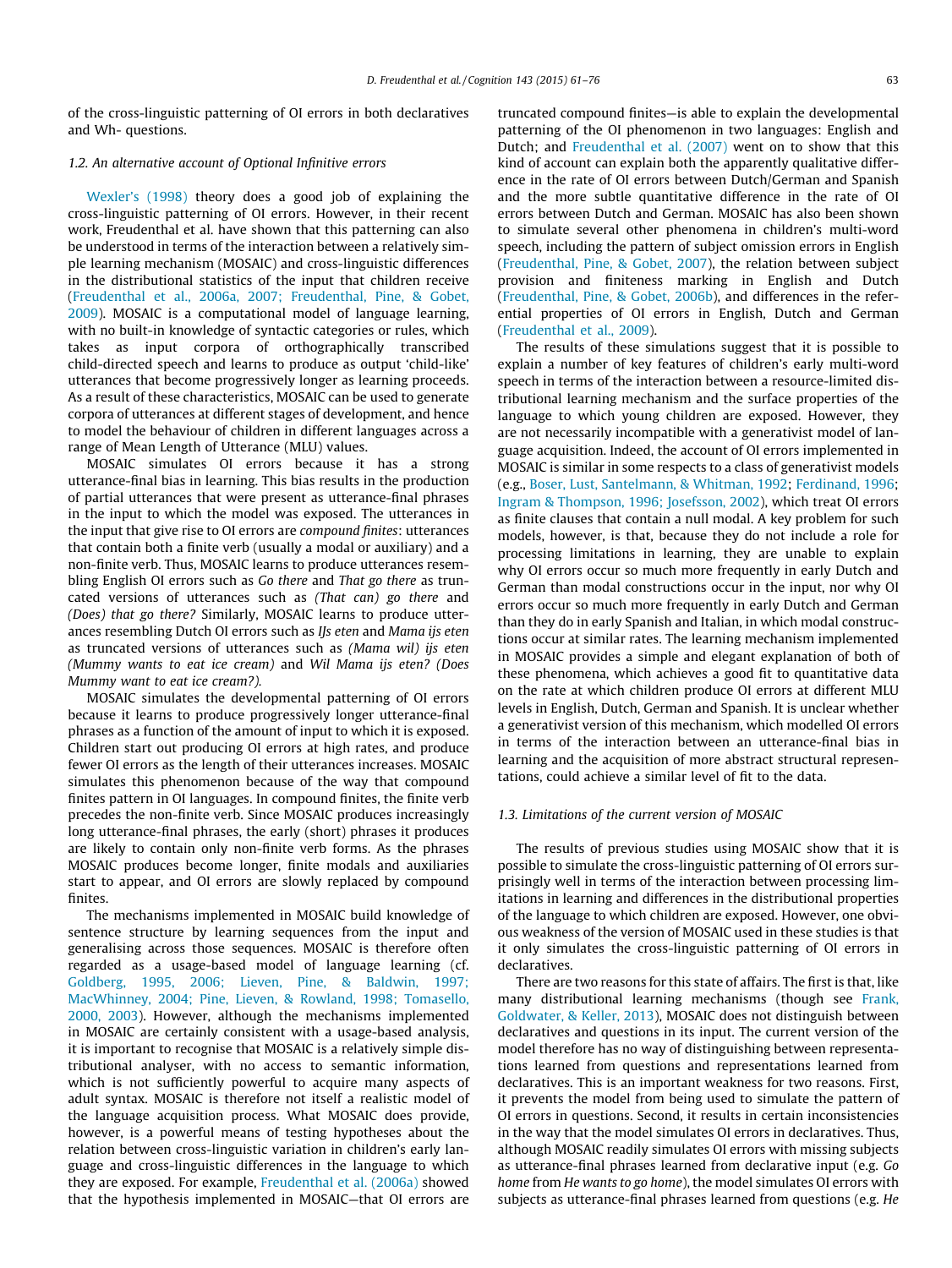of the cross-linguistic patterning of OI errors in both declaratives and Wh- questions.

#### 1.2. An alternative account of Optional Infinitive errors

[Wexler's \(1998\)](#page-15-0) theory does a good job of explaining the cross-linguistic patterning of OI errors. However, in their recent work, Freudenthal et al. have shown that this patterning can also be understood in terms of the interaction between a relatively simple learning mechanism (MOSAIC) and cross-linguistic differences in the distributional statistics of the input that children receive ([Freudenthal et al., 2006a, 2007; Freudenthal, Pine, & Gobet,](#page-15-0) [2009](#page-15-0)). MOSAIC is a computational model of language learning, with no built-in knowledge of syntactic categories or rules, which takes as input corpora of orthographically transcribed child-directed speech and learns to produce as output 'child-like' utterances that become progressively longer as learning proceeds. As a result of these characteristics, MOSAIC can be used to generate corpora of utterances at different stages of development, and hence to model the behaviour of children in different languages across a range of Mean Length of Utterance (MLU) values.

MOSAIC simulates OI errors because it has a strong utterance-final bias in learning. This bias results in the production of partial utterances that were present as utterance-final phrases in the input to which the model was exposed. The utterances in the input that give rise to OI errors are compound finites: utterances that contain both a finite verb (usually a modal or auxiliary) and a non-finite verb. Thus, MOSAIC learns to produce utterances resembling English OI errors such as Go there and That go there as truncated versions of utterances such as (That can) go there and (Does) that go there? Similarly, MOSAIC learns to produce utterances resembling Dutch OI errors such as IJs eten and Mama ijs eten as truncated versions of utterances such as (Mama wil) ijs eten (Mummy wants to eat ice cream) and Wil Mama ijs eten? (Does Mummy want to eat ice cream?).

MOSAIC simulates the developmental patterning of OI errors because it learns to produce progressively longer utterance-final phrases as a function of the amount of input to which it is exposed. Children start out producing OI errors at high rates, and produce fewer OI errors as the length of their utterances increases. MOSAIC simulates this phenomenon because of the way that compound finites pattern in OI languages. In compound finites, the finite verb precedes the non-finite verb. Since MOSAIC produces increasingly long utterance-final phrases, the early (short) phrases it produces are likely to contain only non-finite verb forms. As the phrases MOSAIC produces become longer, finite modals and auxiliaries start to appear, and OI errors are slowly replaced by compound finites.

The mechanisms implemented in MOSAIC build knowledge of sentence structure by learning sequences from the input and generalising across those sequences. MOSAIC is therefore often regarded as a usage-based model of language learning (cf. [Goldberg, 1995, 2006; Lieven, Pine, & Baldwin, 1997;](#page-15-0) [MacWhinney, 2004; Pine, Lieven, & Rowland, 1998; Tomasello,](#page-15-0) [2000, 2003\)](#page-15-0). However, although the mechanisms implemented in MOSAIC are certainly consistent with a usage-based analysis, it is important to recognise that MOSAIC is a relatively simple distributional analyser, with no access to semantic information, which is not sufficiently powerful to acquire many aspects of adult syntax. MOSAIC is therefore not itself a realistic model of the language acquisition process. What MOSAIC does provide, however, is a powerful means of testing hypotheses about the relation between cross-linguistic variation in children's early language and cross-linguistic differences in the language to which they are exposed. For example, [Freudenthal et al. \(2006a\)](#page-15-0) showed that the hypothesis implemented in MOSAIC—that OI errors are

truncated compound finites—is able to explain the developmental patterning of the OI phenomenon in two languages: English and Dutch; and [Freudenthal et al. \(2007\)](#page-14-0) went on to show that this kind of account can explain both the apparently qualitative difference in the rate of OI errors between Dutch/German and Spanish and the more subtle quantitative difference in the rate of OI errors between Dutch and German. MOSAIC has also been shown to simulate several other phenomena in children's multi-word speech, including the pattern of subject omission errors in English ([Freudenthal, Pine, & Gobet, 2007\)](#page-15-0), the relation between subject provision and finiteness marking in English and Dutch ([Freudenthal, Pine, & Gobet, 2006b](#page-15-0)), and differences in the referential properties of OI errors in English, Dutch and German ([Freudenthal et al., 2009](#page-15-0)).

The results of these simulations suggest that it is possible to explain a number of key features of children's early multi-word speech in terms of the interaction between a resource-limited distributional learning mechanism and the surface properties of the language to which young children are exposed. However, they are not necessarily incompatible with a generativist model of language acquisition. Indeed, the account of OI errors implemented in MOSAIC is similar in some respects to a class of generativist models (e.g., [Boser, Lust, Santelmann, & Whitman, 1992](#page-14-0); [Ferdinand, 1996;](#page-14-0) [Ingram & Thompson, 1996; Josefsson, 2002\)](#page-15-0), which treat OI errors as finite clauses that contain a null modal. A key problem for such models, however, is that, because they do not include a role for processing limitations in learning, they are unable to explain why OI errors occur so much more frequently in early Dutch and German than modal constructions occur in the input, nor why OI errors occur so much more frequently in early Dutch and German than they do in early Spanish and Italian, in which modal constructions occur at similar rates. The learning mechanism implemented in MOSAIC provides a simple and elegant explanation of both of these phenomena, which achieves a good fit to quantitative data on the rate at which children produce OI errors at different MLU levels in English, Dutch, German and Spanish. It is unclear whether a generativist version of this mechanism, which modelled OI errors in terms of the interaction between an utterance-final bias in learning and the acquisition of more abstract structural representations, could achieve a similar level of fit to the data.

#### 1.3. Limitations of the current version of MOSAIC

The results of previous studies using MOSAIC show that it is possible to simulate the cross-linguistic patterning of OI errors surprisingly well in terms of the interaction between processing limitations in learning and differences in the distributional properties of the language to which children are exposed. However, one obvious weakness of the version of MOSAIC used in these studies is that it only simulates the cross-linguistic patterning of OI errors in declaratives.

There are two reasons for this state of affairs. The first is that, like many distributional learning mechanisms (though see [Frank,](#page-14-0) [Goldwater, & Keller, 2013](#page-14-0)), MOSAIC does not distinguish between declaratives and questions in its input. The current version of the model therefore has no way of distinguishing between representations learned from questions and representations learned from declaratives. This is an important weakness for two reasons. First, it prevents the model from being used to simulate the pattern of OI errors in questions. Second, it results in certain inconsistencies in the way that the model simulates OI errors in declaratives. Thus, although MOSAIC readily simulates OI errors with missing subjects as utterance-final phrases learned from declarative input (e.g. Go home from He wants to go home), the model simulates OI errors with subjects as utterance-final phrases learned from questions (e.g. He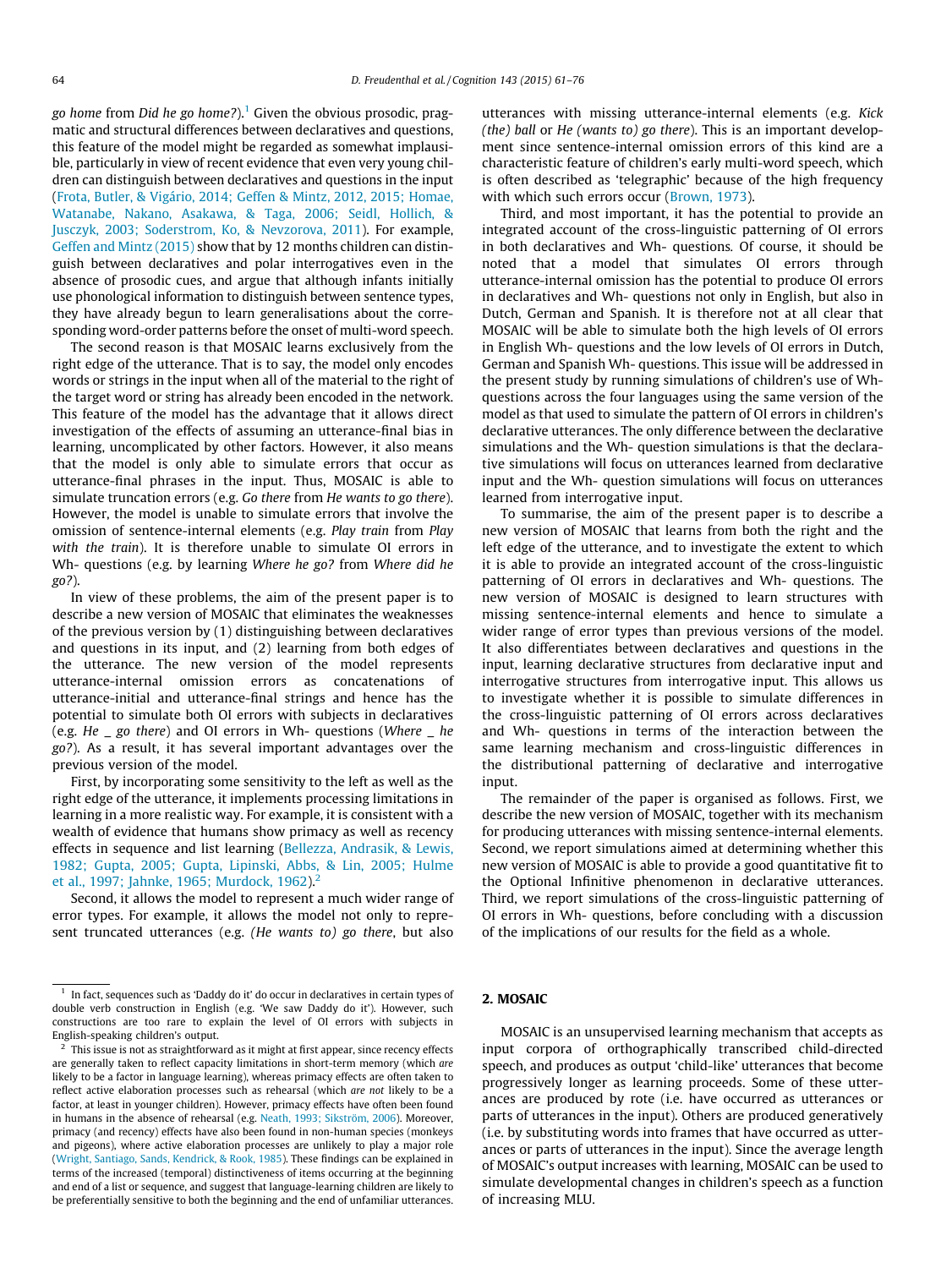go home from Did he go home?).<sup>1</sup> Given the obvious prosodic, pragmatic and structural differences between declaratives and questions, this feature of the model might be regarded as somewhat implausible, particularly in view of recent evidence that even very young children can distinguish between declaratives and questions in the input ([Frota, Butler, & Vigário, 2014; Geffen & Mintz, 2012, 2015; Homae,](#page-15-0) [Watanabe, Nakano, Asakawa, & Taga, 2006; Seidl, Hollich, &](#page-15-0) [Jusczyk, 2003; Soderstrom, Ko, & Nevzorova, 2011](#page-15-0)). For example, [Geffen and Mintz \(2015\)](#page-15-0) show that by 12 months children can distinguish between declaratives and polar interrogatives even in the absence of prosodic cues, and argue that although infants initially use phonological information to distinguish between sentence types, they have already begun to learn generalisations about the corresponding word-order patterns before the onset of multi-word speech.

The second reason is that MOSAIC learns exclusively from the right edge of the utterance. That is to say, the model only encodes words or strings in the input when all of the material to the right of the target word or string has already been encoded in the network. This feature of the model has the advantage that it allows direct investigation of the effects of assuming an utterance-final bias in learning, uncomplicated by other factors. However, it also means that the model is only able to simulate errors that occur as utterance-final phrases in the input. Thus, MOSAIC is able to simulate truncation errors (e.g. Go there from He wants to go there). However, the model is unable to simulate errors that involve the omission of sentence-internal elements (e.g. Play train from Play with the train). It is therefore unable to simulate OI errors in Wh- questions (e.g. by learning Where he go? from Where did he go?).

In view of these problems, the aim of the present paper is to describe a new version of MOSAIC that eliminates the weaknesses of the previous version by (1) distinguishing between declaratives and questions in its input, and (2) learning from both edges of the utterance. The new version of the model represents utterance-internal omission errors as concatenations of utterance-initial and utterance-final strings and hence has the potential to simulate both OI errors with subjects in declaratives (e.g. He \_ go there) and OI errors in Wh- questions (Where \_ he go?). As a result, it has several important advantages over the previous version of the model.

First, by incorporating some sensitivity to the left as well as the right edge of the utterance, it implements processing limitations in learning in a more realistic way. For example, it is consistent with a wealth of evidence that humans show primacy as well as recency effects in sequence and list learning ([Bellezza, Andrasik, & Lewis,](#page-14-0) [1982; Gupta, 2005; Gupta, Lipinski, Abbs, & Lin, 2005; Hulme](#page-14-0) [et al., 1997; Jahnke, 1965; Murdock, 1962](#page-14-0)).<sup>2</sup>

Second, it allows the model to represent a much wider range of error types. For example, it allows the model not only to represent truncated utterances (e.g. (He wants to) go there, but also

utterances with missing utterance-internal elements (e.g. Kick (the) ball or He (wants to) go there). This is an important development since sentence-internal omission errors of this kind are a characteristic feature of children's early multi-word speech, which is often described as 'telegraphic' because of the high frequency with which such errors occur [\(Brown, 1973\)](#page-14-0).

Third, and most important, it has the potential to provide an integrated account of the cross-linguistic patterning of OI errors in both declaratives and Wh- questions. Of course, it should be noted that a model that simulates OI errors through utterance-internal omission has the potential to produce OI errors in declaratives and Wh- questions not only in English, but also in Dutch, German and Spanish. It is therefore not at all clear that MOSAIC will be able to simulate both the high levels of OI errors in English Wh- questions and the low levels of OI errors in Dutch, German and Spanish Wh- questions. This issue will be addressed in the present study by running simulations of children's use of Whquestions across the four languages using the same version of the model as that used to simulate the pattern of OI errors in children's declarative utterances. The only difference between the declarative simulations and the Wh- question simulations is that the declarative simulations will focus on utterances learned from declarative input and the Wh- question simulations will focus on utterances learned from interrogative input.

To summarise, the aim of the present paper is to describe a new version of MOSAIC that learns from both the right and the left edge of the utterance, and to investigate the extent to which it is able to provide an integrated account of the cross-linguistic patterning of OI errors in declaratives and Wh- questions. The new version of MOSAIC is designed to learn structures with missing sentence-internal elements and hence to simulate a wider range of error types than previous versions of the model. It also differentiates between declaratives and questions in the input, learning declarative structures from declarative input and interrogative structures from interrogative input. This allows us to investigate whether it is possible to simulate differences in the cross-linguistic patterning of OI errors across declaratives and Wh- questions in terms of the interaction between the same learning mechanism and cross-linguistic differences in the distributional patterning of declarative and interrogative input.

The remainder of the paper is organised as follows. First, we describe the new version of MOSAIC, together with its mechanism for producing utterances with missing sentence-internal elements. Second, we report simulations aimed at determining whether this new version of MOSAIC is able to provide a good quantitative fit to the Optional Infinitive phenomenon in declarative utterances. Third, we report simulations of the cross-linguistic patterning of OI errors in Wh- questions, before concluding with a discussion of the implications of our results for the field as a whole.

#### 2. MOSAIC

MOSAIC is an unsupervised learning mechanism that accepts as input corpora of orthographically transcribed child-directed speech, and produces as output 'child-like' utterances that become progressively longer as learning proceeds. Some of these utterances are produced by rote (i.e. have occurred as utterances or parts of utterances in the input). Others are produced generatively (i.e. by substituting words into frames that have occurred as utterances or parts of utterances in the input). Since the average length of MOSAIC's output increases with learning, MOSAIC can be used to simulate developmental changes in children's speech as a function of increasing MLU.

 $1$  In fact, sequences such as 'Daddy do it' do occur in declaratives in certain types of double verb construction in English (e.g. 'We saw Daddy do it'). However, such constructions are too rare to explain the level of OI errors with subjects in English-speaking children's output.

 $^2$  This issue is not as straightforward as it might at first appear, since recency effects are generally taken to reflect capacity limitations in short-term memory (which are likely to be a factor in language learning), whereas primacy effects are often taken to reflect active elaboration processes such as rehearsal (which are not likely to be a factor, at least in younger children). However, primacy effects have often been found in humans in the absence of rehearsal (e.g. [Neath, 1993; Sikström, 2006\)](#page-15-0). Moreover, primacy (and recency) effects have also been found in non-human species (monkeys and pigeons), where active elaboration processes are unlikely to play a major role [\(Wright, Santiago, Sands, Kendrick, & Rook, 1985\)](#page-15-0). These findings can be explained in terms of the increased (temporal) distinctiveness of items occurring at the beginning and end of a list or sequence, and suggest that language-learning children are likely to be preferentially sensitive to both the beginning and the end of unfamiliar utterances.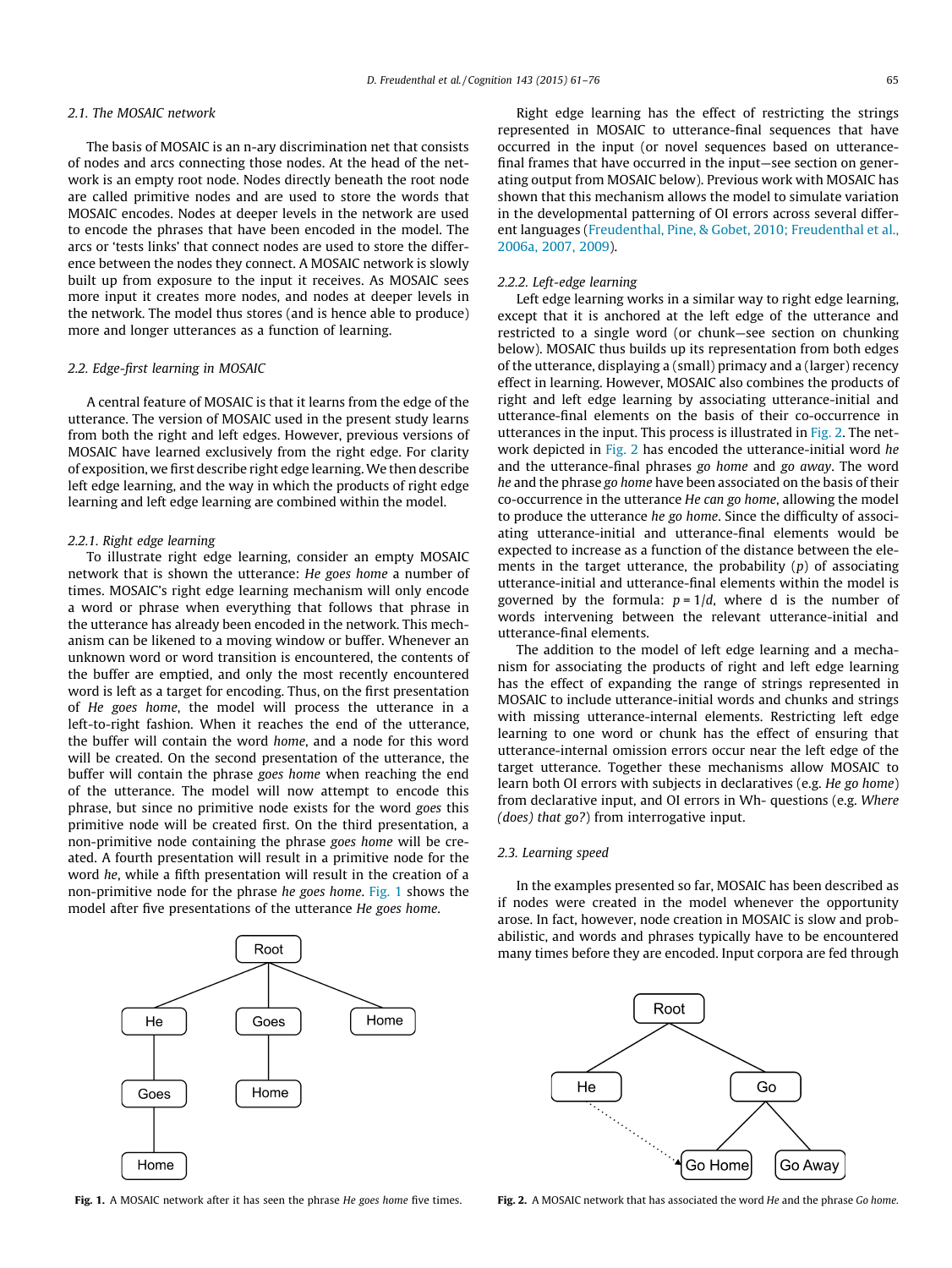#### 2.1. The MOSAIC network

The basis of MOSAIC is an n-ary discrimination net that consists of nodes and arcs connecting those nodes. At the head of the network is an empty root node. Nodes directly beneath the root node are called primitive nodes and are used to store the words that MOSAIC encodes. Nodes at deeper levels in the network are used to encode the phrases that have been encoded in the model. The arcs or 'tests links' that connect nodes are used to store the difference between the nodes they connect. A MOSAIC network is slowly built up from exposure to the input it receives. As MOSAIC sees more input it creates more nodes, and nodes at deeper levels in the network. The model thus stores (and is hence able to produce) more and longer utterances as a function of learning.

#### 2.2. Edge-first learning in MOSAIC

A central feature of MOSAIC is that it learns from the edge of the utterance. The version of MOSAIC used in the present study learns from both the right and left edges. However, previous versions of MOSAIC have learned exclusively from the right edge. For clarity of exposition, we first describe right edge learning.We then describe left edge learning, and the way in which the products of right edge learning and left edge learning are combined within the model.

#### 2.2.1. Right edge learning

To illustrate right edge learning, consider an empty MOSAIC network that is shown the utterance: He goes home a number of times. MOSAIC's right edge learning mechanism will only encode a word or phrase when everything that follows that phrase in the utterance has already been encoded in the network. This mechanism can be likened to a moving window or buffer. Whenever an unknown word or word transition is encountered, the contents of the buffer are emptied, and only the most recently encountered word is left as a target for encoding. Thus, on the first presentation of He goes home, the model will process the utterance in a left-to-right fashion. When it reaches the end of the utterance, the buffer will contain the word home, and a node for this word will be created. On the second presentation of the utterance, the buffer will contain the phrase goes home when reaching the end of the utterance. The model will now attempt to encode this phrase, but since no primitive node exists for the word goes this primitive node will be created first. On the third presentation, a non-primitive node containing the phrase goes home will be created. A fourth presentation will result in a primitive node for the word he, while a fifth presentation will result in the creation of a non-primitive node for the phrase he goes home. Fig. 1 shows the model after five presentations of the utterance He goes home.



Right edge learning has the effect of restricting the strings represented in MOSAIC to utterance-final sequences that have occurred in the input (or novel sequences based on utterancefinal frames that have occurred in the input—see section on generating output from MOSAIC below). Previous work with MOSAIC has shown that this mechanism allows the model to simulate variation in the developmental patterning of OI errors across several different languages [\(Freudenthal, Pine, & Gobet, 2010; Freudenthal et al.,](#page-15-0) [2006a, 2007, 2009](#page-15-0)).

#### 2.2.2. Left-edge learning

Left edge learning works in a similar way to right edge learning, except that it is anchored at the left edge of the utterance and restricted to a single word (or chunk—see section on chunking below). MOSAIC thus builds up its representation from both edges of the utterance, displaying a (small) primacy and a (larger) recency effect in learning. However, MOSAIC also combines the products of right and left edge learning by associating utterance-initial and utterance-final elements on the basis of their co-occurrence in utterances in the input. This process is illustrated in Fig. 2. The network depicted in Fig. 2 has encoded the utterance-initial word he and the utterance-final phrases go home and go away. The word he and the phrase go home have been associated on the basis of their co-occurrence in the utterance He can go home, allowing the model to produce the utterance he go home. Since the difficulty of associating utterance-initial and utterance-final elements would be expected to increase as a function of the distance between the elements in the target utterance, the probability  $(p)$  of associating utterance-initial and utterance-final elements within the model is governed by the formula:  $p = 1/d$ , where d is the number of words intervening between the relevant utterance-initial and utterance-final elements.

The addition to the model of left edge learning and a mechanism for associating the products of right and left edge learning has the effect of expanding the range of strings represented in MOSAIC to include utterance-initial words and chunks and strings with missing utterance-internal elements. Restricting left edge learning to one word or chunk has the effect of ensuring that utterance-internal omission errors occur near the left edge of the target utterance. Together these mechanisms allow MOSAIC to learn both OI errors with subjects in declaratives (e.g. He go home) from declarative input, and OI errors in Wh- questions (e.g. Where (does) that go?) from interrogative input.

#### 2.3. Learning speed

In the examples presented so far, MOSAIC has been described as if nodes were created in the model whenever the opportunity arose. In fact, however, node creation in MOSAIC is slow and probabilistic, and words and phrases typically have to be encountered many times before they are encoded. Input corpora are fed through



Fig. 1. A MOSAIC network after it has seen the phrase He goes home five times. Fig. 2. A MOSAIC network that has associated the word He and the phrase Go home.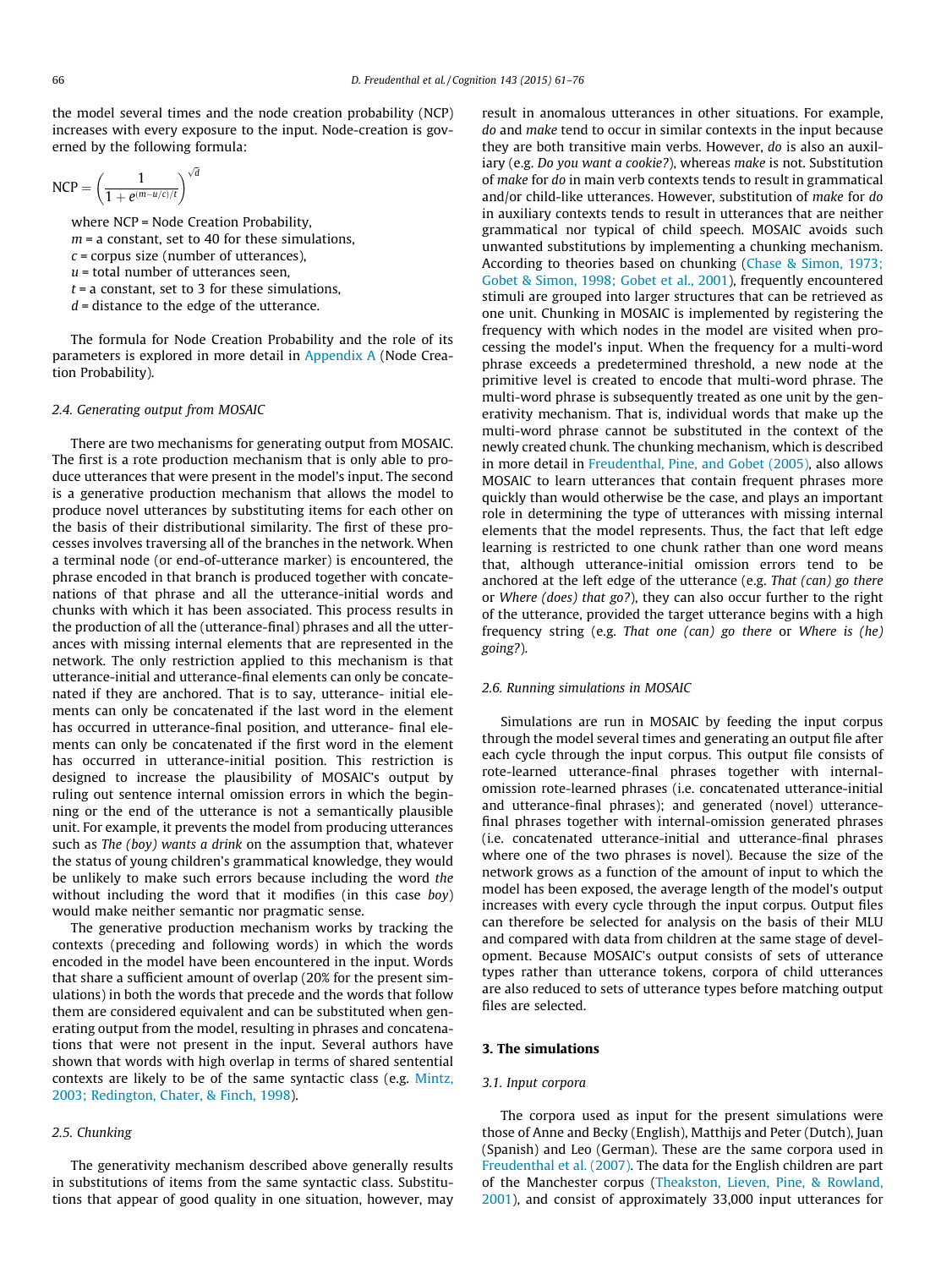the model several times and the node creation probability (NCP) increases with every exposure to the input. Node-creation is governed by the following formula:

$$
NCP = \left(\frac{1}{1 + e^{(m - u/c)/t}}\right)^{\sqrt{d}}
$$

where NCP = Node Creation Probability,  $m = a$  constant, set to 40 for these simulations,  $c$  = corpus size (number of utterances),  $u$  = total number of utterances seen,  $t = a$  constant, set to 3 for these simulations,  $d$  = distance to the edge of the utterance.

The formula for Node Creation Probability and the role of its parameters is explored in more detail in [Appendix A](#page-13-0) (Node Creation Probability).

#### 2.4. Generating output from MOSAIC

There are two mechanisms for generating output from MOSAIC. The first is a rote production mechanism that is only able to produce utterances that were present in the model's input. The second is a generative production mechanism that allows the model to produce novel utterances by substituting items for each other on the basis of their distributional similarity. The first of these processes involves traversing all of the branches in the network. When a terminal node (or end-of-utterance marker) is encountered, the phrase encoded in that branch is produced together with concatenations of that phrase and all the utterance-initial words and chunks with which it has been associated. This process results in the production of all the (utterance-final) phrases and all the utterances with missing internal elements that are represented in the network. The only restriction applied to this mechanism is that utterance-initial and utterance-final elements can only be concatenated if they are anchored. That is to say, utterance- initial elements can only be concatenated if the last word in the element has occurred in utterance-final position, and utterance- final elements can only be concatenated if the first word in the element has occurred in utterance-initial position. This restriction is designed to increase the plausibility of MOSAIC's output by ruling out sentence internal omission errors in which the beginning or the end of the utterance is not a semantically plausible unit. For example, it prevents the model from producing utterances such as The (boy) wants a drink on the assumption that, whatever the status of young children's grammatical knowledge, they would be unlikely to make such errors because including the word the without including the word that it modifies (in this case boy) would make neither semantic nor pragmatic sense.

The generative production mechanism works by tracking the contexts (preceding and following words) in which the words encoded in the model have been encountered in the input. Words that share a sufficient amount of overlap (20% for the present simulations) in both the words that precede and the words that follow them are considered equivalent and can be substituted when generating output from the model, resulting in phrases and concatenations that were not present in the input. Several authors have shown that words with high overlap in terms of shared sentential contexts are likely to be of the same syntactic class (e.g. [Mintz,](#page-15-0) [2003; Redington, Chater, & Finch, 1998\)](#page-15-0).

# 2.5. Chunking

The generativity mechanism described above generally results in substitutions of items from the same syntactic class. Substitutions that appear of good quality in one situation, however, may

result in anomalous utterances in other situations. For example, do and make tend to occur in similar contexts in the input because they are both transitive main verbs. However, do is also an auxiliary (e.g. Do you want a cookie?), whereas make is not. Substitution of make for do in main verb contexts tends to result in grammatical and/or child-like utterances. However, substitution of make for do in auxiliary contexts tends to result in utterances that are neither grammatical nor typical of child speech. MOSAIC avoids such unwanted substitutions by implementing a chunking mechanism. According to theories based on chunking [\(Chase & Simon, 1973;](#page-14-0) [Gobet & Simon, 1998; Gobet et al., 2001\)](#page-14-0), frequently encountered stimuli are grouped into larger structures that can be retrieved as one unit. Chunking in MOSAIC is implemented by registering the frequency with which nodes in the model are visited when processing the model's input. When the frequency for a multi-word phrase exceeds a predetermined threshold, a new node at the primitive level is created to encode that multi-word phrase. The multi-word phrase is subsequently treated as one unit by the generativity mechanism. That is, individual words that make up the multi-word phrase cannot be substituted in the context of the newly created chunk. The chunking mechanism, which is described in more detail in [Freudenthal, Pine, and Gobet \(2005\)](#page-15-0), also allows MOSAIC to learn utterances that contain frequent phrases more quickly than would otherwise be the case, and plays an important role in determining the type of utterances with missing internal elements that the model represents. Thus, the fact that left edge learning is restricted to one chunk rather than one word means that, although utterance-initial omission errors tend to be anchored at the left edge of the utterance (e.g. That (can) go there or Where (does) that go?), they can also occur further to the right of the utterance, provided the target utterance begins with a high frequency string (e.g. That one (can) go there or Where is (he) going?).

#### 2.6. Running simulations in MOSAIC

Simulations are run in MOSAIC by feeding the input corpus through the model several times and generating an output file after each cycle through the input corpus. This output file consists of rote-learned utterance-final phrases together with internalomission rote-learned phrases (i.e. concatenated utterance-initial and utterance-final phrases); and generated (novel) utterancefinal phrases together with internal-omission generated phrases (i.e. concatenated utterance-initial and utterance-final phrases where one of the two phrases is novel). Because the size of the network grows as a function of the amount of input to which the model has been exposed, the average length of the model's output increases with every cycle through the input corpus. Output files can therefore be selected for analysis on the basis of their MLU and compared with data from children at the same stage of development. Because MOSAIC's output consists of sets of utterance types rather than utterance tokens, corpora of child utterances are also reduced to sets of utterance types before matching output files are selected.

#### 3. The simulations

#### 3.1. Input corpora

The corpora used as input for the present simulations were those of Anne and Becky (English), Matthijs and Peter (Dutch), Juan (Spanish) and Leo (German). These are the same corpora used in [Freudenthal et al. \(2007\).](#page-14-0) The data for the English children are part of the Manchester corpus [\(Theakston, Lieven, Pine, & Rowland,](#page-15-0) [2001\)](#page-15-0), and consist of approximately 33,000 input utterances for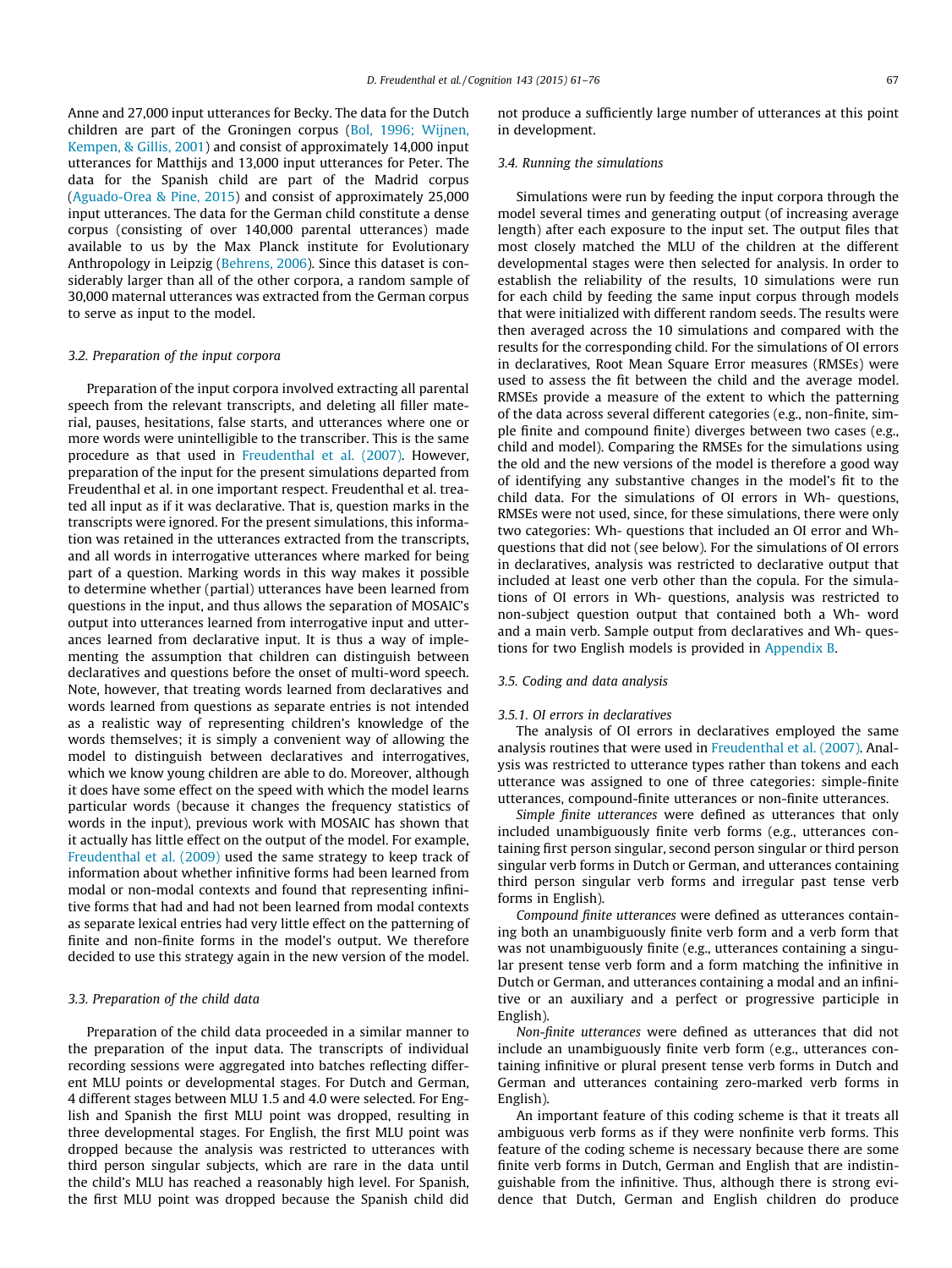Anne and 27,000 input utterances for Becky. The data for the Dutch children are part of the Groningen corpus [\(Bol, 1996; Wijnen,](#page-14-0) [Kempen, & Gillis, 2001](#page-14-0)) and consist of approximately 14,000 input utterances for Matthijs and 13,000 input utterances for Peter. The data for the Spanish child are part of the Madrid corpus ([Aguado-Orea & Pine, 2015](#page-14-0)) and consist of approximately 25,000 input utterances. The data for the German child constitute a dense corpus (consisting of over 140,000 parental utterances) made available to us by the Max Planck institute for Evolutionary Anthropology in Leipzig ([Behrens, 2006](#page-14-0)). Since this dataset is considerably larger than all of the other corpora, a random sample of 30,000 maternal utterances was extracted from the German corpus to serve as input to the model.

#### 3.2. Preparation of the input corpora

Preparation of the input corpora involved extracting all parental speech from the relevant transcripts, and deleting all filler material, pauses, hesitations, false starts, and utterances where one or more words were unintelligible to the transcriber. This is the same procedure as that used in [Freudenthal et al. \(2007\)](#page-14-0). However, preparation of the input for the present simulations departed from Freudenthal et al. in one important respect. Freudenthal et al. treated all input as if it was declarative. That is, question marks in the transcripts were ignored. For the present simulations, this information was retained in the utterances extracted from the transcripts, and all words in interrogative utterances where marked for being part of a question. Marking words in this way makes it possible to determine whether (partial) utterances have been learned from questions in the input, and thus allows the separation of MOSAIC's output into utterances learned from interrogative input and utterances learned from declarative input. It is thus a way of implementing the assumption that children can distinguish between declaratives and questions before the onset of multi-word speech. Note, however, that treating words learned from declaratives and words learned from questions as separate entries is not intended as a realistic way of representing children's knowledge of the words themselves; it is simply a convenient way of allowing the model to distinguish between declaratives and interrogatives, which we know young children are able to do. Moreover, although it does have some effect on the speed with which the model learns particular words (because it changes the frequency statistics of words in the input), previous work with MOSAIC has shown that it actually has little effect on the output of the model. For example, [Freudenthal et al. \(2009\)](#page-15-0) used the same strategy to keep track of information about whether infinitive forms had been learned from modal or non-modal contexts and found that representing infinitive forms that had and had not been learned from modal contexts as separate lexical entries had very little effect on the patterning of finite and non-finite forms in the model's output. We therefore decided to use this strategy again in the new version of the model.

#### 3.3. Preparation of the child data

Preparation of the child data proceeded in a similar manner to the preparation of the input data. The transcripts of individual recording sessions were aggregated into batches reflecting different MLU points or developmental stages. For Dutch and German, 4 different stages between MLU 1.5 and 4.0 were selected. For English and Spanish the first MLU point was dropped, resulting in three developmental stages. For English, the first MLU point was dropped because the analysis was restricted to utterances with third person singular subjects, which are rare in the data until the child's MLU has reached a reasonably high level. For Spanish, the first MLU point was dropped because the Spanish child did

not produce a sufficiently large number of utterances at this point in development.

#### 3.4. Running the simulations

Simulations were run by feeding the input corpora through the model several times and generating output (of increasing average length) after each exposure to the input set. The output files that most closely matched the MLU of the children at the different developmental stages were then selected for analysis. In order to establish the reliability of the results, 10 simulations were run for each child by feeding the same input corpus through models that were initialized with different random seeds. The results were then averaged across the 10 simulations and compared with the results for the corresponding child. For the simulations of OI errors in declaratives, Root Mean Square Error measures (RMSEs) were used to assess the fit between the child and the average model. RMSEs provide a measure of the extent to which the patterning of the data across several different categories (e.g., non-finite, simple finite and compound finite) diverges between two cases (e.g., child and model). Comparing the RMSEs for the simulations using the old and the new versions of the model is therefore a good way of identifying any substantive changes in the model's fit to the child data. For the simulations of OI errors in Wh- questions, RMSEs were not used, since, for these simulations, there were only two categories: Wh- questions that included an OI error and Whquestions that did not (see below). For the simulations of OI errors in declaratives, analysis was restricted to declarative output that included at least one verb other than the copula. For the simulations of OI errors in Wh- questions, analysis was restricted to non-subject question output that contained both a Wh- word and a main verb. Sample output from declaratives and Wh- questions for two English models is provided in [Appendix B](#page-14-0).

# 3.5. Coding and data analysis

#### 3.5.1. OI errors in declaratives

The analysis of OI errors in declaratives employed the same analysis routines that were used in [Freudenthal et al. \(2007\)](#page-14-0). Analysis was restricted to utterance types rather than tokens and each utterance was assigned to one of three categories: simple-finite utterances, compound-finite utterances or non-finite utterances.

Simple finite utterances were defined as utterances that only included unambiguously finite verb forms (e.g., utterances containing first person singular, second person singular or third person singular verb forms in Dutch or German, and utterances containing third person singular verb forms and irregular past tense verb forms in English).

Compound finite utterances were defined as utterances containing both an unambiguously finite verb form and a verb form that was not unambiguously finite (e.g., utterances containing a singular present tense verb form and a form matching the infinitive in Dutch or German, and utterances containing a modal and an infinitive or an auxiliary and a perfect or progressive participle in English).

Non-finite utterances were defined as utterances that did not include an unambiguously finite verb form (e.g., utterances containing infinitive or plural present tense verb forms in Dutch and German and utterances containing zero-marked verb forms in English).

An important feature of this coding scheme is that it treats all ambiguous verb forms as if they were nonfinite verb forms. This feature of the coding scheme is necessary because there are some finite verb forms in Dutch, German and English that are indistinguishable from the infinitive. Thus, although there is strong evidence that Dutch, German and English children do produce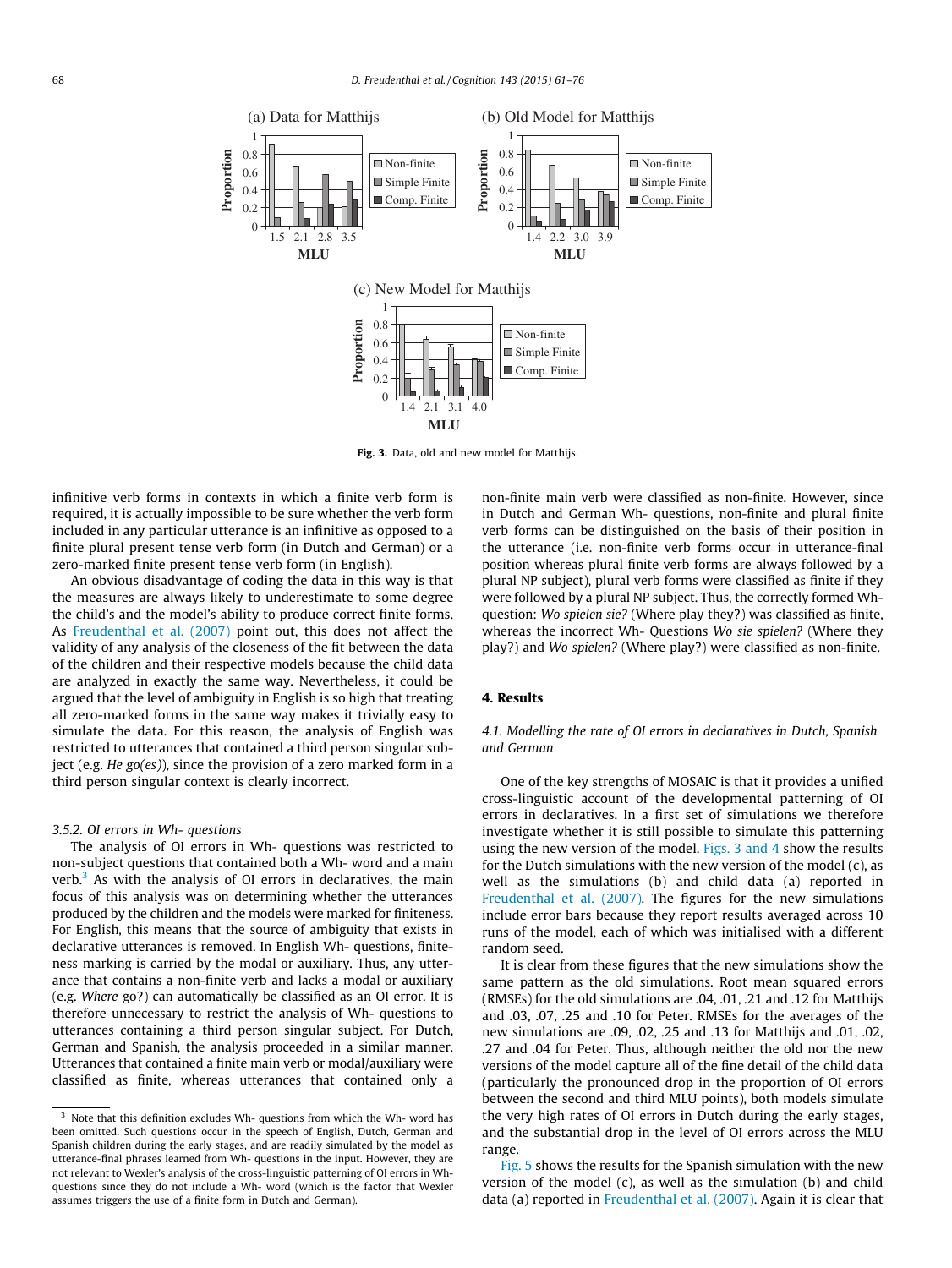

Fig. 3. Data, old and new model for Matthijs.

infinitive verb forms in contexts in which a finite verb form is required, it is actually impossible to be sure whether the verb form included in any particular utterance is an infinitive as opposed to a finite plural present tense verb form (in Dutch and German) or a zero-marked finite present tense verb form (in English).

An obvious disadvantage of coding the data in this way is that the measures are always likely to underestimate to some degree the child's and the model's ability to produce correct finite forms. As [Freudenthal et al. \(2007\)](#page-14-0) point out, this does not affect the validity of any analysis of the closeness of the fit between the data of the children and their respective models because the child data are analyzed in exactly the same way. Nevertheless, it could be argued that the level of ambiguity in English is so high that treating all zero-marked forms in the same way makes it trivially easy to simulate the data. For this reason, the analysis of English was restricted to utterances that contained a third person singular subject (e.g. He go(es)), since the provision of a zero marked form in a third person singular context is clearly incorrect.

#### 3.5.2. OI errors in Wh- questions

The analysis of OI errors in Wh- questions was restricted to non-subject questions that contained both a Wh- word and a main verb.<sup>3</sup> As with the analysis of OI errors in declaratives, the main focus of this analysis was on determining whether the utterances produced by the children and the models were marked for finiteness. For English, this means that the source of ambiguity that exists in declarative utterances is removed. In English Wh- questions, finiteness marking is carried by the modal or auxiliary. Thus, any utterance that contains a non-finite verb and lacks a modal or auxiliary (e.g. Where go?) can automatically be classified as an OI error. It is therefore unnecessary to restrict the analysis of Wh- questions to utterances containing a third person singular subject. For Dutch, German and Spanish, the analysis proceeded in a similar manner. Utterances that contained a finite main verb or modal/auxiliary were classified as finite, whereas utterances that contained only a non-finite main verb were classified as non-finite. However, since in Dutch and German Wh- questions, non-finite and plural finite verb forms can be distinguished on the basis of their position in the utterance (i.e. non-finite verb forms occur in utterance-final position whereas plural finite verb forms are always followed by a plural NP subject), plural verb forms were classified as finite if they were followed by a plural NP subject. Thus, the correctly formed Whquestion: Wo spielen sie? (Where play they?) was classified as finite, whereas the incorrect Wh- Questions Wo sie spielen? (Where they play?) and Wo spielen? (Where play?) were classified as non-finite.

#### 4. Results

# 4.1. Modelling the rate of OI errors in declaratives in Dutch, Spanish and German

One of the key strengths of MOSAIC is that it provides a unified cross-linguistic account of the developmental patterning of OI errors in declaratives. In a first set of simulations we therefore investigate whether it is still possible to simulate this patterning using the new version of the model. Figs. 3 and 4 show the results for the Dutch simulations with the new version of the model  $(c)$ , as well as the simulations (b) and child data (a) reported in [Freudenthal et al. \(2007\)](#page-14-0). The figures for the new simulations include error bars because they report results averaged across 10 runs of the model, each of which was initialised with a different random seed.

It is clear from these figures that the new simulations show the same pattern as the old simulations. Root mean squared errors (RMSEs) for the old simulations are .04, .01, .21 and .12 for Matthijs and .03, .07, .25 and .10 for Peter. RMSEs for the averages of the new simulations are .09, .02, .25 and .13 for Matthijs and .01, .02, .27 and .04 for Peter. Thus, although neither the old nor the new versions of the model capture all of the fine detail of the child data (particularly the pronounced drop in the proportion of OI errors between the second and third MLU points), both models simulate the very high rates of OI errors in Dutch during the early stages, and the substantial drop in the level of OI errors across the MLU range.

[Fig. 5](#page-8-0) shows the results for the Spanish simulation with the new version of the model (c), as well as the simulation (b) and child data (a) reported in [Freudenthal et al. \(2007\).](#page-14-0) Again it is clear that

<sup>&</sup>lt;sup>3</sup> Note that this definition excludes Wh- questions from which the Wh- word has been omitted. Such questions occur in the speech of English, Dutch, German and Spanish children during the early stages, and are readily simulated by the model as utterance-final phrases learned from Wh- questions in the input. However, they are not relevant to Wexler's analysis of the cross-linguistic patterning of OI errors in Whquestions since they do not include a Wh- word (which is the factor that Wexler assumes triggers the use of a finite form in Dutch and German).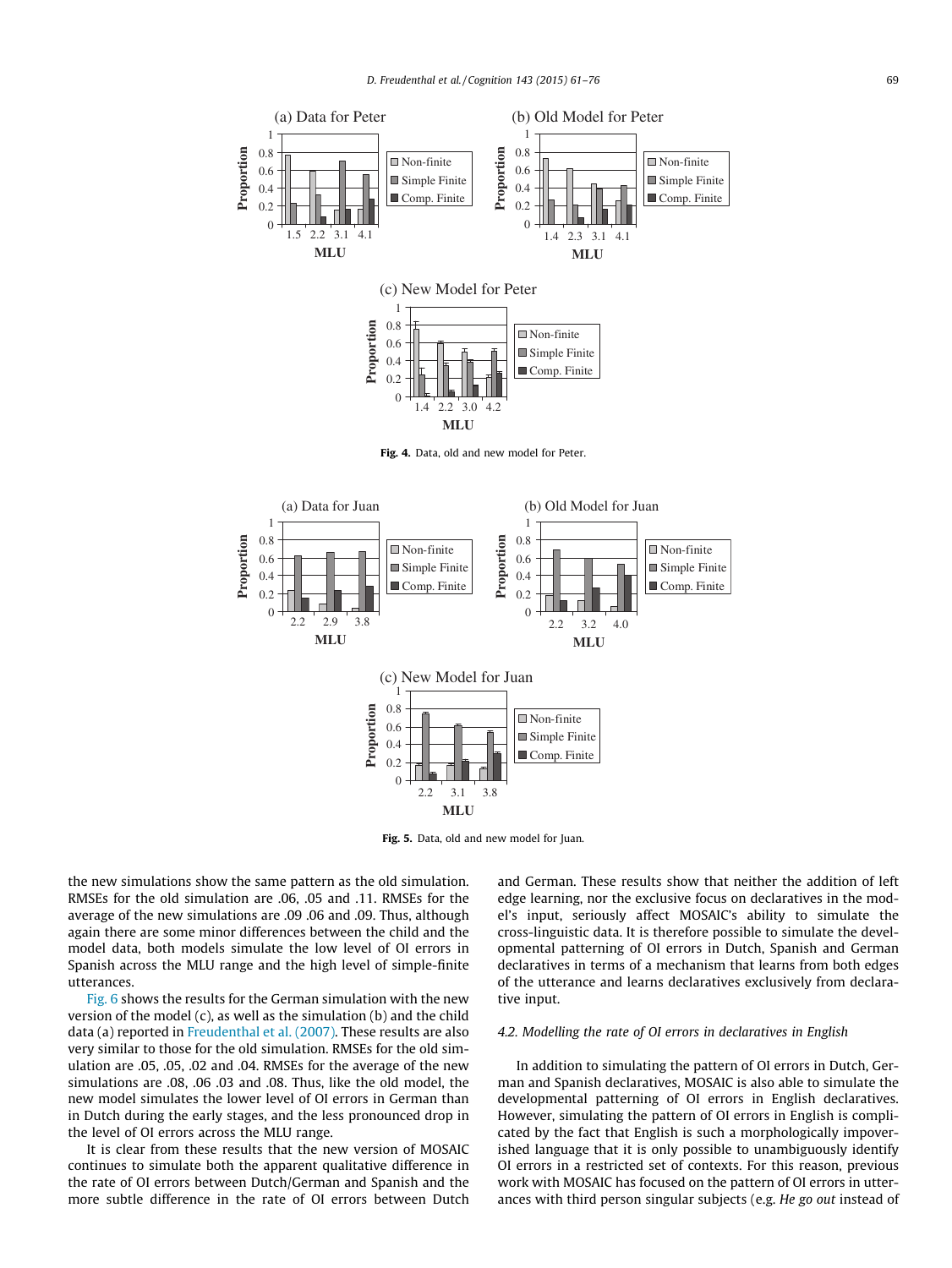<span id="page-8-0"></span>

Fig. 4. Data, old and new model for Peter.



Fig. 5. Data, old and new model for Juan.

the new simulations show the same pattern as the old simulation. RMSEs for the old simulation are .06, .05 and .11. RMSEs for the average of the new simulations are .09 .06 and .09. Thus, although again there are some minor differences between the child and the model data, both models simulate the low level of OI errors in Spanish across the MLU range and the high level of simple-finite utterances.

[Fig. 6](#page-9-0) shows the results for the German simulation with the new version of the model  $(c)$ , as well as the simulation  $(b)$  and the child data (a) reported in [Freudenthal et al. \(2007\).](#page-14-0) These results are also very similar to those for the old simulation. RMSEs for the old simulation are .05, .05, .02 and .04. RMSEs for the average of the new simulations are .08, .06 .03 and .08. Thus, like the old model, the new model simulates the lower level of OI errors in German than in Dutch during the early stages, and the less pronounced drop in the level of OI errors across the MLU range.

It is clear from these results that the new version of MOSAIC continues to simulate both the apparent qualitative difference in the rate of OI errors between Dutch/German and Spanish and the more subtle difference in the rate of OI errors between Dutch and German. These results show that neither the addition of left edge learning, nor the exclusive focus on declaratives in the model's input, seriously affect MOSAIC's ability to simulate the cross-linguistic data. It is therefore possible to simulate the developmental patterning of OI errors in Dutch, Spanish and German declaratives in terms of a mechanism that learns from both edges of the utterance and learns declaratives exclusively from declarative input.

#### 4.2. Modelling the rate of OI errors in declaratives in English

In addition to simulating the pattern of OI errors in Dutch, German and Spanish declaratives, MOSAIC is also able to simulate the developmental patterning of OI errors in English declaratives. However, simulating the pattern of OI errors in English is complicated by the fact that English is such a morphologically impoverished language that it is only possible to unambiguously identify OI errors in a restricted set of contexts. For this reason, previous work with MOSAIC has focused on the pattern of OI errors in utterances with third person singular subjects (e.g. He go out instead of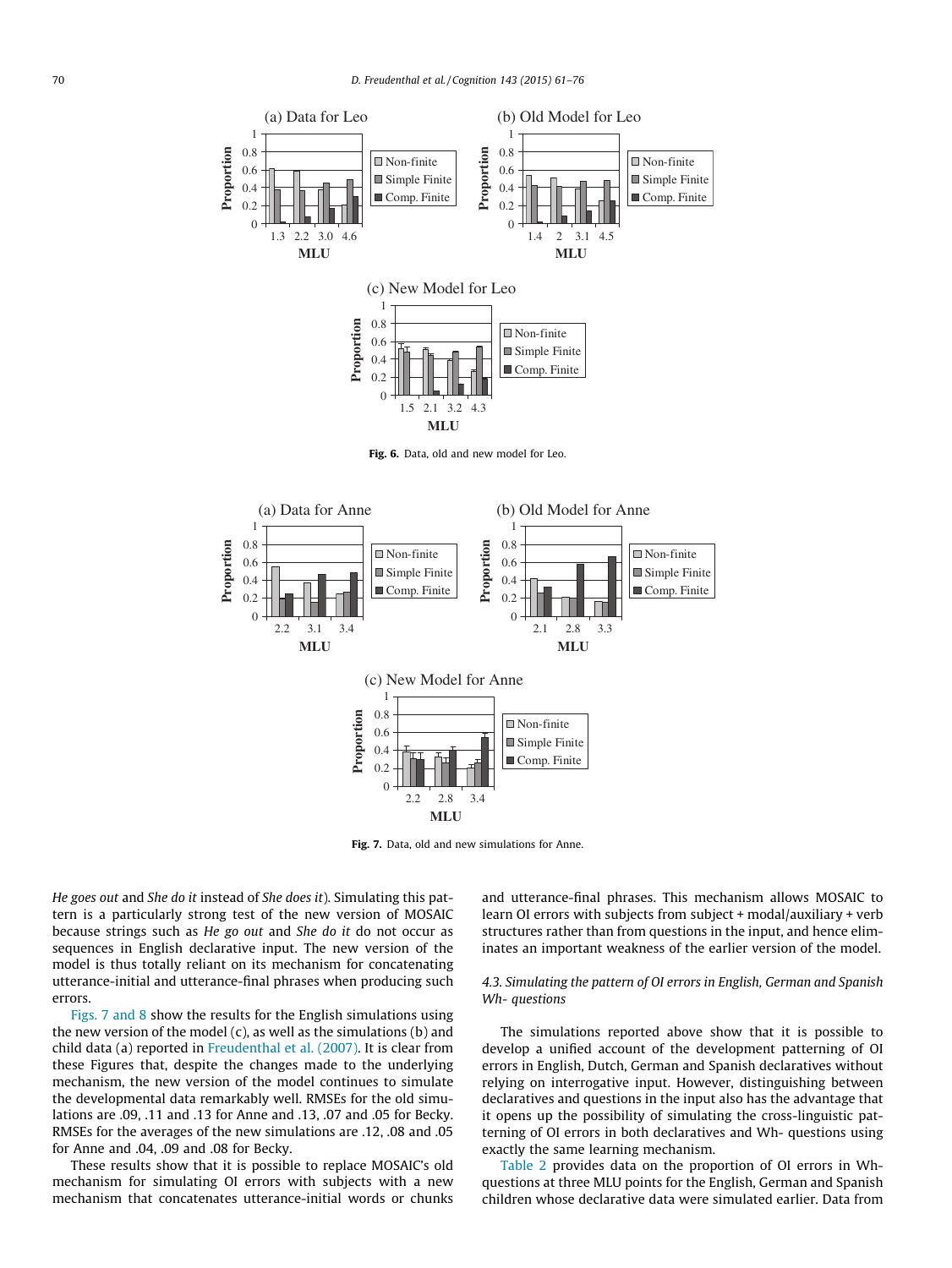<span id="page-9-0"></span>

Fig. 6. Data, old and new model for Leo.



Fig. 7. Data, old and new simulations for Anne.

He goes out and She do it instead of She does it). Simulating this pattern is a particularly strong test of the new version of MOSAIC because strings such as He go out and She do it do not occur as sequences in English declarative input. The new version of the model is thus totally reliant on its mechanism for concatenating utterance-initial and utterance-final phrases when producing such errors.

Figs. 7 and 8 show the results for the English simulations using the new version of the model  $(c)$ , as well as the simulations  $(b)$  and child data (a) reported in [Freudenthal et al. \(2007\).](#page-14-0) It is clear from these Figures that, despite the changes made to the underlying mechanism, the new version of the model continues to simulate the developmental data remarkably well. RMSEs for the old simulations are .09, .11 and .13 for Anne and .13, .07 and .05 for Becky. RMSEs for the averages of the new simulations are .12, .08 and .05 for Anne and .04, .09 and .08 for Becky.

These results show that it is possible to replace MOSAIC's old mechanism for simulating OI errors with subjects with a new mechanism that concatenates utterance-initial words or chunks and utterance-final phrases. This mechanism allows MOSAIC to learn OI errors with subjects from subject + modal/auxiliary + verb structures rather than from questions in the input, and hence eliminates an important weakness of the earlier version of the model.

### 4.3. Simulating the pattern of OI errors in English, German and Spanish Wh- questions

The simulations reported above show that it is possible to develop a unified account of the development patterning of OI errors in English, Dutch, German and Spanish declaratives without relying on interrogative input. However, distinguishing between declaratives and questions in the input also has the advantage that it opens up the possibility of simulating the cross-linguistic patterning of OI errors in both declaratives and Wh- questions using exactly the same learning mechanism.

[Table 2](#page-10-0) provides data on the proportion of OI errors in Whquestions at three MLU points for the English, German and Spanish children whose declarative data were simulated earlier. Data from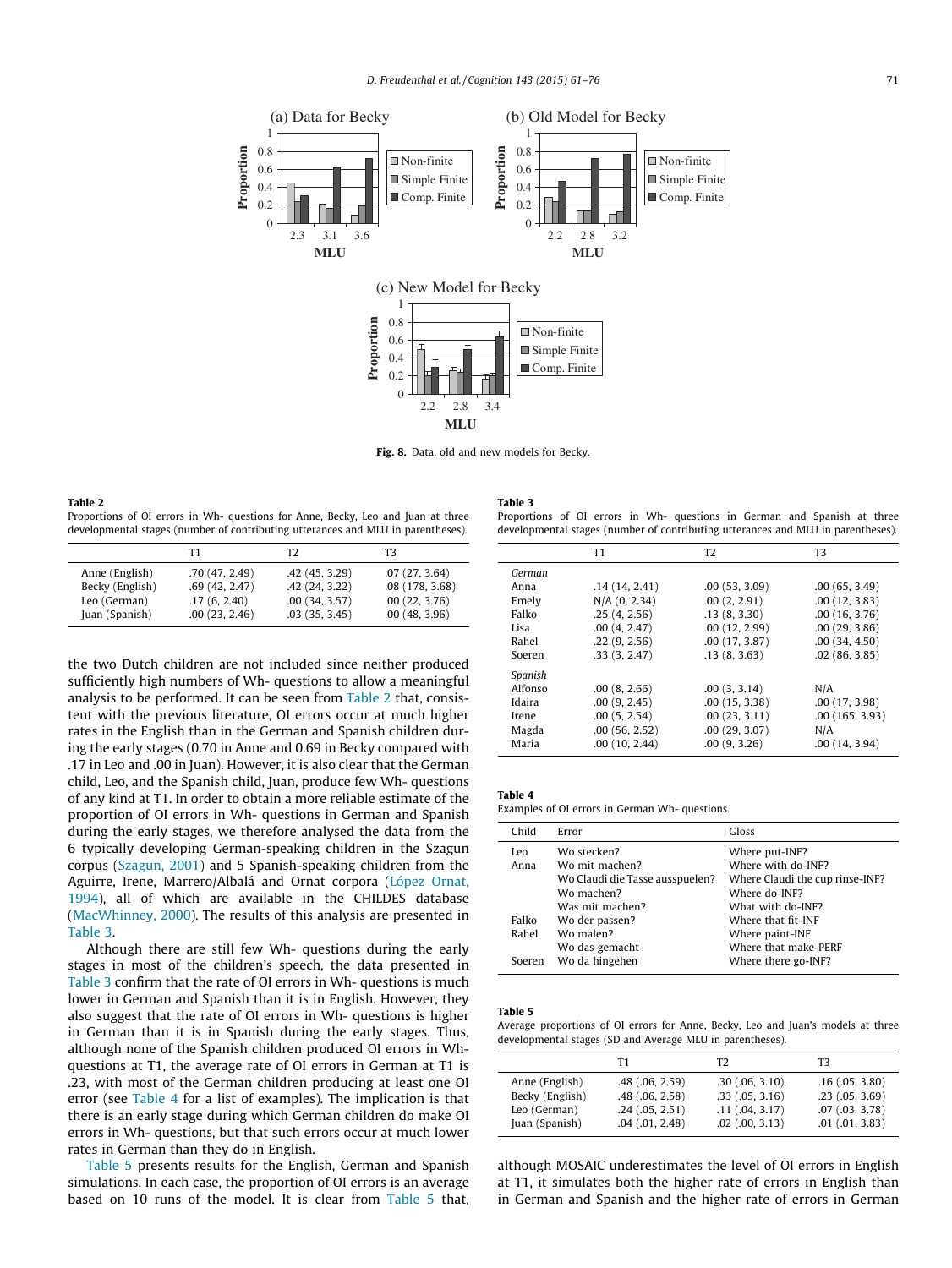<span id="page-10-0"></span>

Fig. 8. Data, old and new models for Becky.

| Table 2                                                                          |
|----------------------------------------------------------------------------------|
| Proportions of OI errors in Wh- questions for Anne, Becky, Leo and Juan at three |
| developmental stages (number of contributing utterances and MIII in parentheses) |

developmental stages (number of contributing utterances and MLU in parentheses).

Table 3

Proportions of OI errors in Wh- questions in German and Spanish at three developmental stages (number of contributing utterances and MLU in parentheses).

|                 | Т1            | T2            | TЗ             |
|-----------------|---------------|---------------|----------------|
| Anne (English)  | .70(47, 2.49) | .42(45, 3.29) | .07(27, 3.64)  |
| Becky (English) | .69(42, 2.47) | .42(24, 3.22) | .08(178, 3.68) |
| Leo (German)    | .17(6, 2.40)  | .00(34, 3.57) | .00(22, 3.76)  |
| Juan (Spanish)  | .00(23, 2.46) | .03(35, 3.45) | .00(48, 3.96)  |

the two Dutch children are not included since neither produced sufficiently high numbers of Wh- questions to allow a meaningful analysis to be performed. It can be seen from Table 2 that, consistent with the previous literature, OI errors occur at much higher rates in the English than in the German and Spanish children during the early stages (0.70 in Anne and 0.69 in Becky compared with .17 in Leo and .00 in Juan). However, it is also clear that the German child, Leo, and the Spanish child, Juan, produce few Wh- questions of any kind at T1. In order to obtain a more reliable estimate of the proportion of OI errors in Wh- questions in German and Spanish during the early stages, we therefore analysed the data from the 6 typically developing German-speaking children in the Szagun corpus [\(Szagun, 2001\)](#page-15-0) and 5 Spanish-speaking children from the Aguirre, Irene, Marrero/Albalá and Ornat corpora [\(López Ornat,](#page-15-0) [1994\)](#page-15-0), all of which are available in the CHILDES database ([MacWhinney, 2000](#page-15-0)). The results of this analysis are presented in Table 3.

Although there are still few Wh- questions during the early stages in most of the children's speech, the data presented in Table 3 confirm that the rate of OI errors in Wh- questions is much lower in German and Spanish than it is in English. However, they also suggest that the rate of OI errors in Wh- questions is higher in German than it is in Spanish during the early stages. Thus, although none of the Spanish children produced OI errors in Whquestions at T1, the average rate of OI errors in German at T1 is .23, with most of the German children producing at least one OI error (see Table 4 for a list of examples). The implication is that there is an early stage during which German children do make OI errors in Wh- questions, but that such errors occur at much lower rates in German than they do in English.

Table 5 presents results for the English, German and Spanish simulations. In each case, the proportion of OI errors is an average based on 10 runs of the model. It is clear from Table 5 that,

|         | T1              | T <sub>2</sub> | T3             |
|---------|-----------------|----------------|----------------|
| German  |                 |                |                |
| Anna    | .14(14, 2.41)   | .00(53, 3.09)  | .00(65, 3.49)  |
| Emely   | $N/A$ (0, 2.34) | .00(2, 2.91)   | .00(12, 3.83)  |
| Falko   | .25(4, 2.56)    | .13(8, 3.30)   | .00(16, 3.76)  |
| Lisa    | .00(4, 2.47)    | .00(12, 2.99)  | .00(29, 3.86)  |
| Rahel   | .22(9, 2.56)    | .00(17, 3.87)  | .00(34, 4.50)  |
| Soeren  | .33(3, 2.47)    | .13(8.3.63)    | .02(86, 3.85)  |
| Spanish |                 |                |                |
| Alfonso | .00(8, 2.66)    | .00(3, 3.14)   | N/A            |
| Idaira  | .00(9, 2.45)    | .00(15, 3.38)  | .00(17, 3.98)  |
| Irene   | .00(5, 2.54)    | .00(23, 3.11)  | .00(165, 3.93) |
| Magda   | .00(56, 2.52)   | .00(29, 3.07)  | N/A            |
| María   | .00(10, 2.44)   | .00(9, 3.26)   | .00(14, 3.94)  |

| $\sim$ |     |
|--------|-----|
|        | . . |

Examples of OI errors in German Wh- questions.

| Child  | Error                           | Gloss                           |
|--------|---------------------------------|---------------------------------|
| Leo    | Wo stecken?                     | Where put-INF?                  |
| Anna   | Wo mit machen?                  | Where with do-INF?              |
|        | Wo Claudi die Tasse ausspuelen? | Where Claudi the cup rinse-INF? |
|        | Wo machen?                      | Where do-INF?                   |
|        | Was mit machen?                 | What with do-INF?               |
| Falko  | Wo der passen?                  | Where that fit-INF              |
| Rahel  | Wo malen?                       | Where paint-INF                 |
|        | Wo das gemacht                  | Where that make-PERF            |
| Soeren | Wo da hingehen                  | Where there go-INF?             |

#### Table 5

Average proportions of OI errors for Anne, Becky, Leo and Juan's models at three developmental stages (SD and Average MLU in parentheses).

|                 | Τ1                  | T2                  | т٦                  |
|-----------------|---------------------|---------------------|---------------------|
| Anne (English)  | $.48$ $(.06, 2.59)$ | $.30$ (.06, 3.10),  | .16(.05, 3.80)      |
| Becky (English) | $.48$ $(.06, 2.58)$ | .33(.05, 3.16)      | .23(0.05, 3.69)     |
| Leo (German)    | .24(.05, 2.51)      | .11(.04, 3.17)      | .07(0.03, 3.78)     |
| Juan (Spanish)  | $.04$ $(.01, 2.48)$ | $.02$ $(.00, 3.13)$ | $.01$ $(.01, 3.83)$ |

although MOSAIC underestimates the level of OI errors in English at T1, it simulates both the higher rate of errors in English than in German and Spanish and the higher rate of errors in German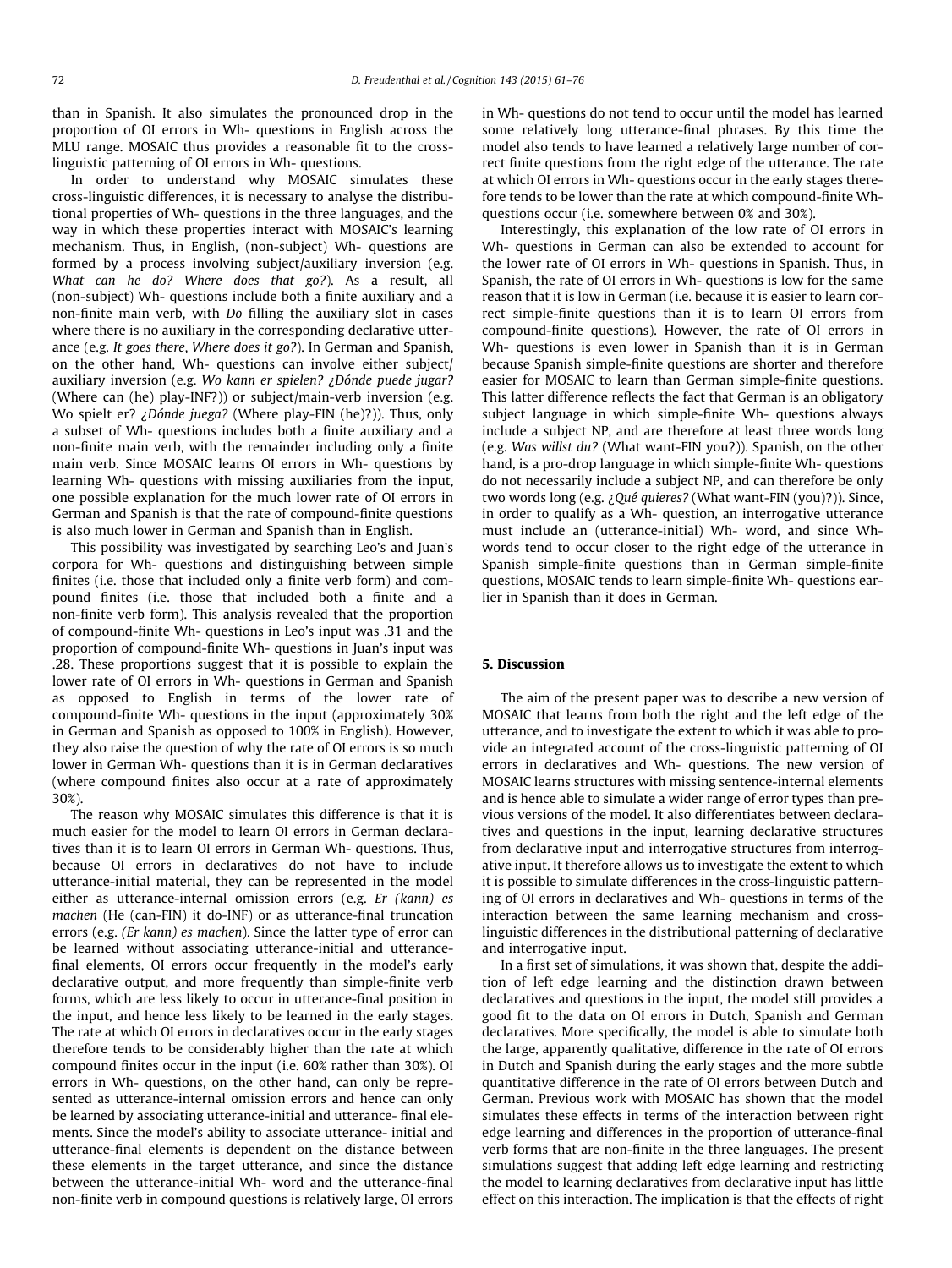than in Spanish. It also simulates the pronounced drop in the proportion of OI errors in Wh- questions in English across the MLU range. MOSAIC thus provides a reasonable fit to the crosslinguistic patterning of OI errors in Wh- questions.

In order to understand why MOSAIC simulates these cross-linguistic differences, it is necessary to analyse the distributional properties of Wh- questions in the three languages, and the way in which these properties interact with MOSAIC's learning mechanism. Thus, in English, (non-subject) Wh- questions are formed by a process involving subject/auxiliary inversion (e.g. What can he do? Where does that go?). As a result, all (non-subject) Wh- questions include both a finite auxiliary and a non-finite main verb, with Do filling the auxiliary slot in cases where there is no auxiliary in the corresponding declarative utterance (e.g. It goes there, Where does it go?). In German and Spanish, on the other hand, Wh- questions can involve either subject/ auxiliary inversion (e.g. Wo kann er spielen? ¿Dónde puede jugar? (Where can (he) play-INF?)) or subject/main-verb inversion (e.g. Wo spielt er? ¿Dónde juega? (Where play-FIN (he)?)). Thus, only a subset of Wh- questions includes both a finite auxiliary and a non-finite main verb, with the remainder including only a finite main verb. Since MOSAIC learns OI errors in Wh- questions by learning Wh- questions with missing auxiliaries from the input, one possible explanation for the much lower rate of OI errors in German and Spanish is that the rate of compound-finite questions is also much lower in German and Spanish than in English.

This possibility was investigated by searching Leo's and Juan's corpora for Wh- questions and distinguishing between simple finites (i.e. those that included only a finite verb form) and compound finites (i.e. those that included both a finite and a non-finite verb form). This analysis revealed that the proportion of compound-finite Wh- questions in Leo's input was .31 and the proportion of compound-finite Wh- questions in Juan's input was .28. These proportions suggest that it is possible to explain the lower rate of OI errors in Wh- questions in German and Spanish as opposed to English in terms of the lower rate of compound-finite Wh- questions in the input (approximately 30% in German and Spanish as opposed to 100% in English). However, they also raise the question of why the rate of OI errors is so much lower in German Wh- questions than it is in German declaratives (where compound finites also occur at a rate of approximately 30%).

The reason why MOSAIC simulates this difference is that it is much easier for the model to learn OI errors in German declaratives than it is to learn OI errors in German Wh- questions. Thus, because OI errors in declaratives do not have to include utterance-initial material, they can be represented in the model either as utterance-internal omission errors (e.g. Er (kann) es machen (He (can-FIN) it do-INF) or as utterance-final truncation errors (e.g. (Er kann) es machen). Since the latter type of error can be learned without associating utterance-initial and utterancefinal elements, OI errors occur frequently in the model's early declarative output, and more frequently than simple-finite verb forms, which are less likely to occur in utterance-final position in the input, and hence less likely to be learned in the early stages. The rate at which OI errors in declaratives occur in the early stages therefore tends to be considerably higher than the rate at which compound finites occur in the input (i.e. 60% rather than 30%). OI errors in Wh- questions, on the other hand, can only be represented as utterance-internal omission errors and hence can only be learned by associating utterance-initial and utterance- final elements. Since the model's ability to associate utterance- initial and utterance-final elements is dependent on the distance between these elements in the target utterance, and since the distance between the utterance-initial Wh- word and the utterance-final non-finite verb in compound questions is relatively large, OI errors in Wh- questions do not tend to occur until the model has learned some relatively long utterance-final phrases. By this time the model also tends to have learned a relatively large number of correct finite questions from the right edge of the utterance. The rate at which OI errors in Wh- questions occur in the early stages therefore tends to be lower than the rate at which compound-finite Whquestions occur (i.e. somewhere between 0% and 30%).

Interestingly, this explanation of the low rate of OI errors in Wh- questions in German can also be extended to account for the lower rate of OI errors in Wh- questions in Spanish. Thus, in Spanish, the rate of OI errors in Wh- questions is low for the same reason that it is low in German (i.e. because it is easier to learn correct simple-finite questions than it is to learn OI errors from compound-finite questions). However, the rate of OI errors in Wh- questions is even lower in Spanish than it is in German because Spanish simple-finite questions are shorter and therefore easier for MOSAIC to learn than German simple-finite questions. This latter difference reflects the fact that German is an obligatory subject language in which simple-finite Wh- questions always include a subject NP, and are therefore at least three words long (e.g. Was willst du? (What want-FIN you?)). Spanish, on the other hand, is a pro-drop language in which simple-finite Wh- questions do not necessarily include a subject NP, and can therefore be only two words long (e.g. ¿Qué quieres? (What want-FIN (you)?)). Since, in order to qualify as a Wh- question, an interrogative utterance must include an (utterance-initial) Wh- word, and since Whwords tend to occur closer to the right edge of the utterance in Spanish simple-finite questions than in German simple-finite questions, MOSAIC tends to learn simple-finite Wh- questions earlier in Spanish than it does in German.

# 5. Discussion

The aim of the present paper was to describe a new version of MOSAIC that learns from both the right and the left edge of the utterance, and to investigate the extent to which it was able to provide an integrated account of the cross-linguistic patterning of OI errors in declaratives and Wh- questions. The new version of MOSAIC learns structures with missing sentence-internal elements and is hence able to simulate a wider range of error types than previous versions of the model. It also differentiates between declaratives and questions in the input, learning declarative structures from declarative input and interrogative structures from interrogative input. It therefore allows us to investigate the extent to which it is possible to simulate differences in the cross-linguistic patterning of OI errors in declaratives and Wh- questions in terms of the interaction between the same learning mechanism and crosslinguistic differences in the distributional patterning of declarative and interrogative input.

In a first set of simulations, it was shown that, despite the addition of left edge learning and the distinction drawn between declaratives and questions in the input, the model still provides a good fit to the data on OI errors in Dutch, Spanish and German declaratives. More specifically, the model is able to simulate both the large, apparently qualitative, difference in the rate of OI errors in Dutch and Spanish during the early stages and the more subtle quantitative difference in the rate of OI errors between Dutch and German. Previous work with MOSAIC has shown that the model simulates these effects in terms of the interaction between right edge learning and differences in the proportion of utterance-final verb forms that are non-finite in the three languages. The present simulations suggest that adding left edge learning and restricting the model to learning declaratives from declarative input has little effect on this interaction. The implication is that the effects of right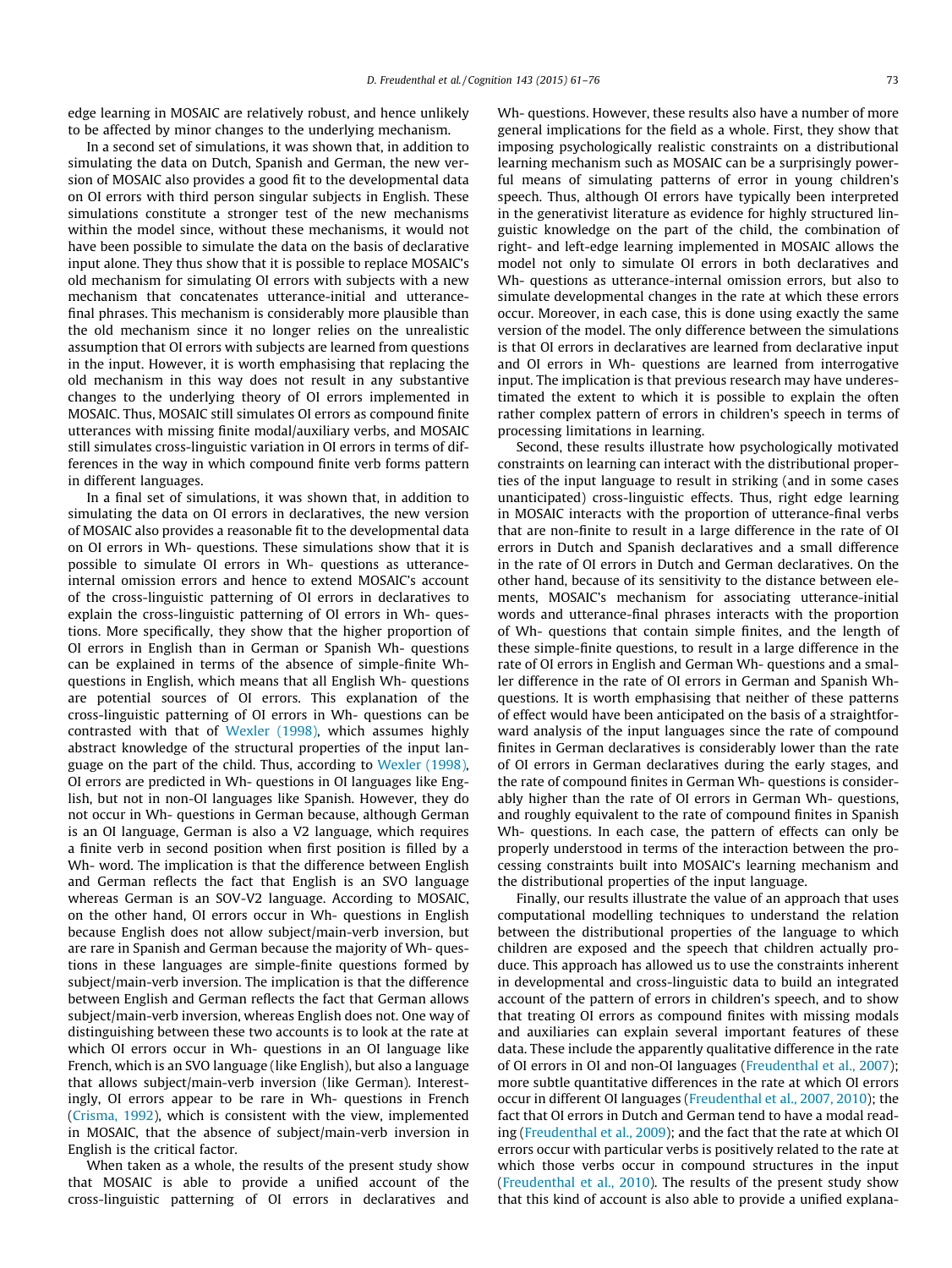edge learning in MOSAIC are relatively robust, and hence unlikely to be affected by minor changes to the underlying mechanism.

In a second set of simulations, it was shown that, in addition to simulating the data on Dutch, Spanish and German, the new version of MOSAIC also provides a good fit to the developmental data on OI errors with third person singular subjects in English. These simulations constitute a stronger test of the new mechanisms within the model since, without these mechanisms, it would not have been possible to simulate the data on the basis of declarative input alone. They thus show that it is possible to replace MOSAIC's old mechanism for simulating OI errors with subjects with a new mechanism that concatenates utterance-initial and utterancefinal phrases. This mechanism is considerably more plausible than the old mechanism since it no longer relies on the unrealistic assumption that OI errors with subjects are learned from questions in the input. However, it is worth emphasising that replacing the old mechanism in this way does not result in any substantive changes to the underlying theory of OI errors implemented in MOSAIC. Thus, MOSAIC still simulates OI errors as compound finite utterances with missing finite modal/auxiliary verbs, and MOSAIC still simulates cross-linguistic variation in OI errors in terms of differences in the way in which compound finite verb forms pattern in different languages.

In a final set of simulations, it was shown that, in addition to simulating the data on OI errors in declaratives, the new version of MOSAIC also provides a reasonable fit to the developmental data on OI errors in Wh- questions. These simulations show that it is possible to simulate OI errors in Wh- questions as utteranceinternal omission errors and hence to extend MOSAIC's account of the cross-linguistic patterning of OI errors in declaratives to explain the cross-linguistic patterning of OI errors in Wh- questions. More specifically, they show that the higher proportion of OI errors in English than in German or Spanish Wh- questions can be explained in terms of the absence of simple-finite Whquestions in English, which means that all English Wh- questions are potential sources of OI errors. This explanation of the cross-linguistic patterning of OI errors in Wh- questions can be contrasted with that of [Wexler \(1998\),](#page-15-0) which assumes highly abstract knowledge of the structural properties of the input language on the part of the child. Thus, according to [Wexler \(1998\),](#page-15-0) OI errors are predicted in Wh- questions in OI languages like English, but not in non-OI languages like Spanish. However, they do not occur in Wh- questions in German because, although German is an OI language, German is also a V2 language, which requires a finite verb in second position when first position is filled by a Wh- word. The implication is that the difference between English and German reflects the fact that English is an SVO language whereas German is an SOV-V2 language. According to MOSAIC, on the other hand, OI errors occur in Wh- questions in English because English does not allow subject/main-verb inversion, but are rare in Spanish and German because the majority of Wh- questions in these languages are simple-finite questions formed by subject/main-verb inversion. The implication is that the difference between English and German reflects the fact that German allows subject/main-verb inversion, whereas English does not. One way of distinguishing between these two accounts is to look at the rate at which OI errors occur in Wh- questions in an OI language like French, which is an SVO language (like English), but also a language that allows subject/main-verb inversion (like German). Interestingly, OI errors appear to be rare in Wh- questions in French ([Crisma, 1992](#page-14-0)), which is consistent with the view, implemented in MOSAIC, that the absence of subject/main-verb inversion in English is the critical factor.

When taken as a whole, the results of the present study show that MOSAIC is able to provide a unified account of the cross-linguistic patterning of OI errors in declaratives and Wh- questions. However, these results also have a number of more general implications for the field as a whole. First, they show that imposing psychologically realistic constraints on a distributional learning mechanism such as MOSAIC can be a surprisingly powerful means of simulating patterns of error in young children's speech. Thus, although OI errors have typically been interpreted in the generativist literature as evidence for highly structured linguistic knowledge on the part of the child, the combination of right- and left-edge learning implemented in MOSAIC allows the model not only to simulate OI errors in both declaratives and Wh- questions as utterance-internal omission errors, but also to simulate developmental changes in the rate at which these errors occur. Moreover, in each case, this is done using exactly the same version of the model. The only difference between the simulations is that OI errors in declaratives are learned from declarative input and OI errors in Wh- questions are learned from interrogative input. The implication is that previous research may have underestimated the extent to which it is possible to explain the often rather complex pattern of errors in children's speech in terms of processing limitations in learning.

Second, these results illustrate how psychologically motivated constraints on learning can interact with the distributional properties of the input language to result in striking (and in some cases unanticipated) cross-linguistic effects. Thus, right edge learning in MOSAIC interacts with the proportion of utterance-final verbs that are non-finite to result in a large difference in the rate of OI errors in Dutch and Spanish declaratives and a small difference in the rate of OI errors in Dutch and German declaratives. On the other hand, because of its sensitivity to the distance between elements, MOSAIC's mechanism for associating utterance-initial words and utterance-final phrases interacts with the proportion of Wh- questions that contain simple finites, and the length of these simple-finite questions, to result in a large difference in the rate of OI errors in English and German Wh- questions and a smaller difference in the rate of OI errors in German and Spanish Whquestions. It is worth emphasising that neither of these patterns of effect would have been anticipated on the basis of a straightforward analysis of the input languages since the rate of compound finites in German declaratives is considerably lower than the rate of OI errors in German declaratives during the early stages, and the rate of compound finites in German Wh- questions is considerably higher than the rate of OI errors in German Wh- questions, and roughly equivalent to the rate of compound finites in Spanish Wh- questions. In each case, the pattern of effects can only be properly understood in terms of the interaction between the processing constraints built into MOSAIC's learning mechanism and the distributional properties of the input language.

Finally, our results illustrate the value of an approach that uses computational modelling techniques to understand the relation between the distributional properties of the language to which children are exposed and the speech that children actually produce. This approach has allowed us to use the constraints inherent in developmental and cross-linguistic data to build an integrated account of the pattern of errors in children's speech, and to show that treating OI errors as compound finites with missing modals and auxiliaries can explain several important features of these data. These include the apparently qualitative difference in the rate of OI errors in OI and non-OI languages ([Freudenthal et al., 2007\)](#page-14-0); more subtle quantitative differences in the rate at which OI errors occur in different OI languages [\(Freudenthal et al., 2007, 2010](#page-14-0)); the fact that OI errors in Dutch and German tend to have a modal reading [\(Freudenthal et al., 2009\)](#page-15-0); and the fact that the rate at which OI errors occur with particular verbs is positively related to the rate at which those verbs occur in compound structures in the input ([Freudenthal et al., 2010\)](#page-15-0). The results of the present study show that this kind of account is also able to provide a unified explana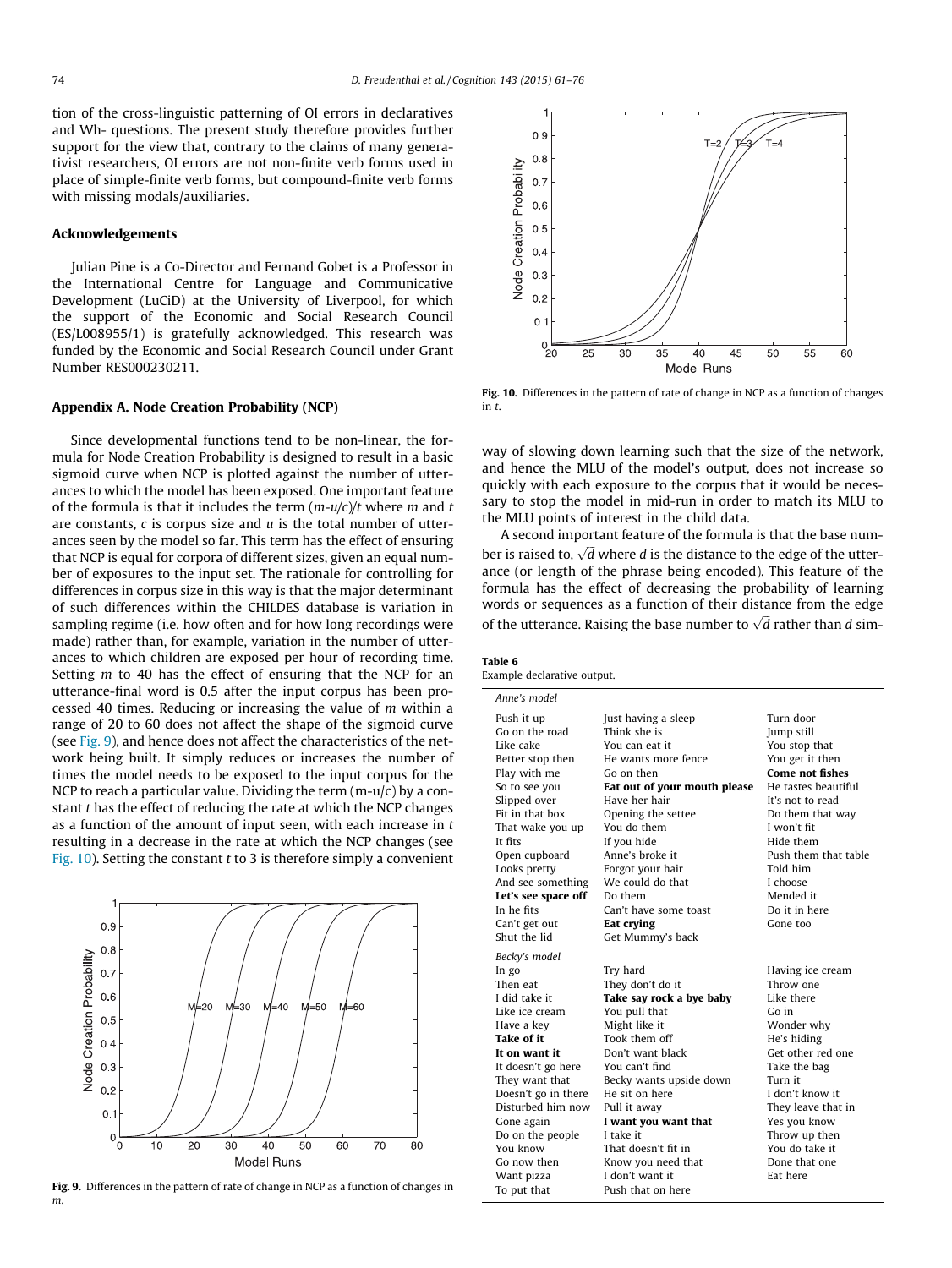<span id="page-13-0"></span>tion of the cross-linguistic patterning of OI errors in declaratives and Wh- questions. The present study therefore provides further support for the view that, contrary to the claims of many generativist researchers, OI errors are not non-finite verb forms used in place of simple-finite verb forms, but compound-finite verb forms with missing modals/auxiliaries.

### Acknowledgements

Julian Pine is a Co-Director and Fernand Gobet is a Professor in the International Centre for Language and Communicative Development (LuCiD) at the University of Liverpool, for which the support of the Economic and Social Research Council (ES/L008955/1) is gratefully acknowledged. This research was funded by the Economic and Social Research Council under Grant Number RES000230211.

#### Appendix A. Node Creation Probability (NCP)

Since developmental functions tend to be non-linear, the formula for Node Creation Probability is designed to result in a basic sigmoid curve when NCP is plotted against the number of utterances to which the model has been exposed. One important feature of the formula is that it includes the term  $(m-u/c)/t$  where m and t are constants,  $c$  is corpus size and  $u$  is the total number of utterances seen by the model so far. This term has the effect of ensuring that NCP is equal for corpora of different sizes, given an equal number of exposures to the input set. The rationale for controlling for differences in corpus size in this way is that the major determinant of such differences within the CHILDES database is variation in sampling regime (i.e. how often and for how long recordings were made) rather than, for example, variation in the number of utterances to which children are exposed per hour of recording time. Setting  $m$  to 40 has the effect of ensuring that the NCP for an utterance-final word is 0.5 after the input corpus has been processed 40 times. Reducing or increasing the value of m within a range of 20 to 60 does not affect the shape of the sigmoid curve (see Fig. 9), and hence does not affect the characteristics of the network being built. It simply reduces or increases the number of times the model needs to be exposed to the input corpus for the NCP to reach a particular value. Dividing the term  $(m-u/c)$  by a constant  $t$  has the effect of reducing the rate at which the NCP changes as a function of the amount of input seen, with each increase in t resulting in a decrease in the rate at which the NCP changes (see Fig. 10). Setting the constant  $t$  to 3 is therefore simply a convenient



Fig. 9. Differences in the pattern of rate of change in NCP as a function of changes in m.



Fig. 10. Differences in the pattern of rate of change in NCP as a function of changes in t.

way of slowing down learning such that the size of the network, and hence the MLU of the model's output, does not increase so quickly with each exposure to the corpus that it would be necessary to stop the model in mid-run in order to match its MLU to the MLU points of interest in the child data.

A second important feature of the formula is that the base number is raised to,  $\sqrt{d}$  where  $d$  is the distance to the edge of the utterance (or length of the phrase being encoded). This feature of the formula has the effect of decreasing the probability of learning words or sequences as a function of their distance from the edge of the utterance. Raising the base number to  $\sqrt{d}$  rather than  $d$  sim-

Table 6 Example declarative output.

| Anne's model        |                              |                        |
|---------------------|------------------------------|------------------------|
| Push it up          | Just having a sleep          | Turn door              |
| Go on the road      | Think she is                 | Jump still             |
| Like cake           | You can eat it               | You stop that          |
| Better stop then    | He wants more fence          | You get it then        |
| Play with me        | Go on then                   | <b>Come not fishes</b> |
| So to see you       | Eat out of your mouth please | He tastes beautiful    |
| Slipped over        | Have her hair                | It's not to read       |
| Fit in that box     | Opening the settee           | Do them that way       |
| That wake you up    | You do them                  | I won't fit            |
| It fits             | If you hide                  | Hide them              |
| Open cupboard       | Anne's broke it              | Push them that table   |
| Looks pretty        | Forgot your hair             | Told him               |
| And see something   | We could do that             | I choose               |
| Let's see space off | Do them                      | Mended it              |
| In he fits          | Can't have some toast        | Do it in here          |
| Can't get out       | Eat crying                   | Gone too               |
| Shut the lid        | Get Mummy's back             |                        |
| Becky's model       |                              |                        |
| In go               | Try hard                     | Having ice cream       |
| Then eat            | They don't do it             | Throw one              |
| I did take it       | Take say rock a bye baby     | Like there             |
| Like ice cream      | You pull that                | Go in                  |
| Have a key          | Might like it                | Wonder why             |
| <b>Take of it</b>   | Took them off                | He's hiding            |
| It on want it       | Don't want black             | Get other red one      |
| It doesn't go here  | You can't find               | Take the bag           |
| They want that      | Becky wants upside down      | Turn it                |
| Doesn't go in there | He sit on here               | I don't know it        |
| Disturbed him now   | Pull it away                 | They leave that in     |
| Gone again          | I want you want that         | Yes you know           |
| Do on the people    | I take it                    | Throw up then          |
| You know            | That doesn't fit in          | You do take it         |
| Go now then         | Know you need that           | Done that one          |
| Want pizza          | I don't want it              | Eat here               |
| To put that         | Push that on here            |                        |
|                     |                              |                        |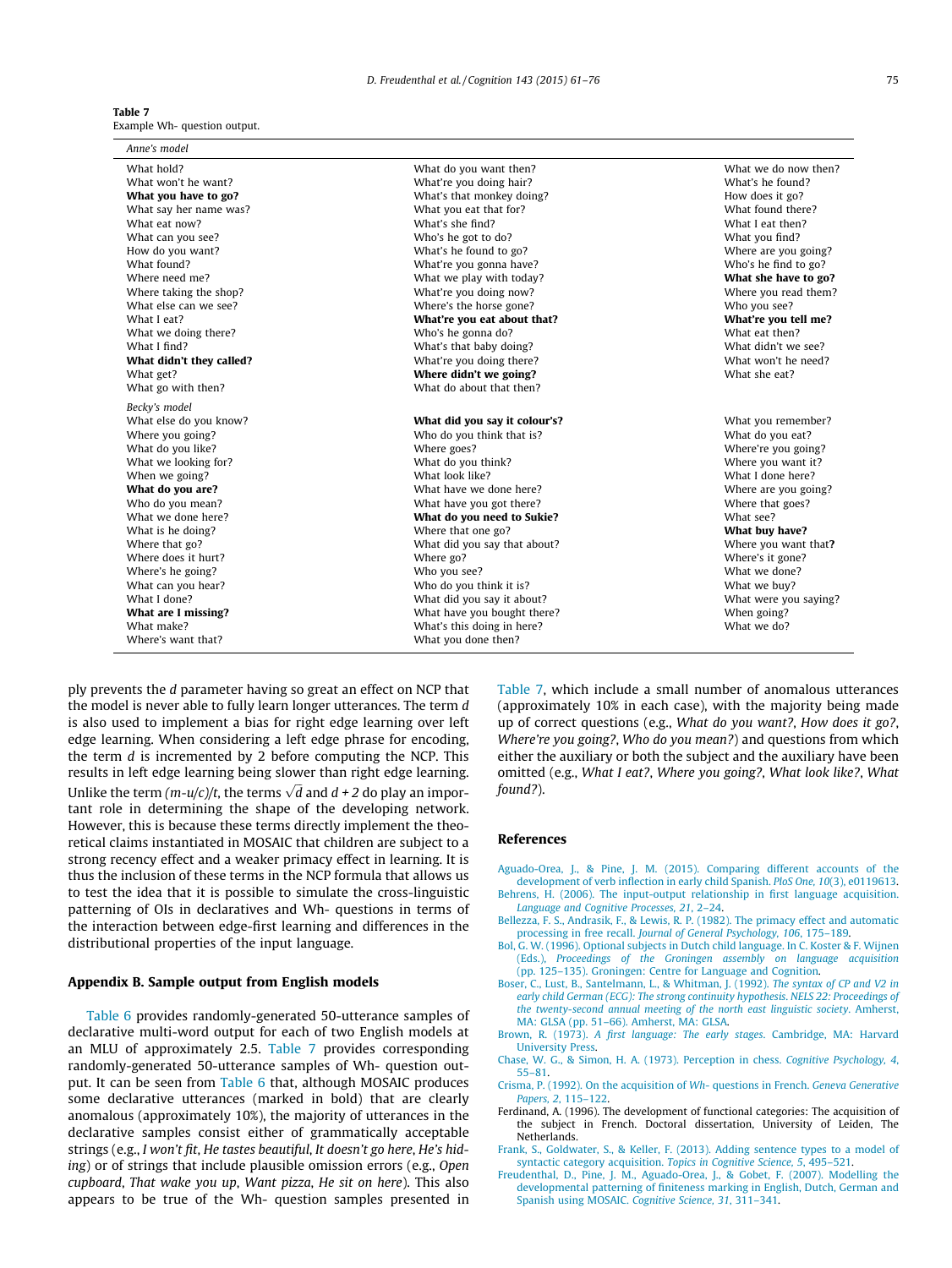#### <span id="page-14-0"></span>Table 7

Example Wh- question output.

| What hold?               | What do you want then?        | What we do now then?  |
|--------------------------|-------------------------------|-----------------------|
| What won't he want?      | What're you doing hair?       | What's he found?      |
| What you have to go?     | What's that monkey doing?     | How does it go?       |
| What say her name was?   | What you eat that for?        | What found there?     |
| What eat now?            | What's she find?              | What I eat then?      |
| What can you see?        | Who's he got to do?           | What you find?        |
| How do you want?         | What's he found to go?        | Where are you going?  |
| What found?              | What're you gonna have?       | Who's he find to go?  |
| Where need me?           | What we play with today?      | What she have to go?  |
| Where taking the shop?   | What're you doing now?        | Where you read them?  |
| What else can we see?    | Where's the horse gone?       | Who you see?          |
| What I eat?              | What're you eat about that?   | What're you tell me?  |
| What we doing there?     | Who's he gonna do?            | What eat then?        |
| What I find?             | What's that baby doing?       | What didn't we see?   |
| What didn't they called? | What're you doing there?      | What won't he need?   |
| What get?                | Where didn't we going?        | What she eat?         |
| What go with then?       | What do about that then?      |                       |
| Becky's model            |                               |                       |
| What else do you know?   | What did you say it colour's? | What you remember?    |
| Where you going?         | Who do you think that is?     | What do you eat?      |
| What do you like?        | Where goes?                   | Where're you going?   |
| What we looking for?     | What do you think?            | Where you want it?    |
| When we going?           | What look like?               | What I done here?     |
| What do you are?         | What have we done here?       | Where are you going?  |
| Who do you mean?         | What have you got there?      | Where that goes?      |
| What we done here?       | What do you need to Sukie?    | What see?             |
| What is he doing?        | Where that one go?            | What buy have?        |
| Where that go?           | What did you say that about?  | Where you want that?  |
| Where does it hurt?      | Where go?                     | Where's it gone?      |
| Where's he going?        | Who you see?                  | What we done?         |
| What can you hear?       | Who do you think it is?       | What we buy?          |
| What I done?             | What did you say it about?    | What were you saying? |
| What are I missing?      | What have you bought there?   | When going?           |
| What make?               | What's this doing in here?    | What we do?           |
| Where's want that?       | What you done then?           |                       |

ply prevents the d parameter having so great an effect on NCP that the model is never able to fully learn longer utterances. The term d is also used to implement a bias for right edge learning over left edge learning. When considering a left edge phrase for encoding, the term d is incremented by 2 before computing the NCP. This results in left edge learning being slower than right edge learning. Unlike the term  $(m-u/c)/t$ , the terms  $\sqrt{d}$  and  $d+2$  do play an important role in determining the shape of the developing network. However, this is because these terms directly implement the theoretical claims instantiated in MOSAIC that children are subject to a strong recency effect and a weaker primacy effect in learning. It is thus the inclusion of these terms in the NCP formula that allows us to test the idea that it is possible to simulate the cross-linguistic patterning of OIs in declaratives and Wh- questions in terms of the interaction between edge-first learning and differences in the distributional properties of the input language.

#### Appendix B. Sample output from English models

[Table 6](#page-13-0) provides randomly-generated 50-utterance samples of declarative multi-word output for each of two English models at an MLU of approximately 2.5. Table 7 provides corresponding randomly-generated 50-utterance samples of Wh- question output. It can be seen from [Table 6](#page-13-0) that, although MOSAIC produces some declarative utterances (marked in bold) that are clearly anomalous (approximately 10%), the majority of utterances in the declarative samples consist either of grammatically acceptable strings (e.g., I won't fit, He tastes beautiful, It doesn't go here, He's hiding) or of strings that include plausible omission errors (e.g., Open cupboard, That wake you up, Want pizza, He sit on here). This also appears to be true of the Wh- question samples presented in

Table 7, which include a small number of anomalous utterances (approximately 10% in each case), with the majority being made up of correct questions (e.g., What do you want?, How does it go?, Where're you going?, Who do you mean?) and questions from which either the auxiliary or both the subject and the auxiliary have been omitted (e.g., What I eat?, Where you going?, What look like?, What found?).

#### References

[Aguado-Orea, J., & Pine, J. M. \(2015\). Comparing different accounts of the](http://refhub.elsevier.com/S0010-0277(15)30009-3/h0005) [development of verb inflection in early child Spanish.](http://refhub.elsevier.com/S0010-0277(15)30009-3/h0005) PloS One, 10(3), e0119613. [Behrens, H. \(2006\). The input-output relationship in first language acquisition.](http://refhub.elsevier.com/S0010-0277(15)30009-3/h0010)

- [Language and Cognitive Processes, 21](http://refhub.elsevier.com/S0010-0277(15)30009-3/h0010), 2–24. [Bellezza, F. S., Andrasik, F., & Lewis, R. P. \(1982\). The primacy effect and automatic](http://refhub.elsevier.com/S0010-0277(15)30009-3/h0015)
- processing in free recall. [Journal of General Psychology, 106](http://refhub.elsevier.com/S0010-0277(15)30009-3/h0015), 175–189.
- [Bol, G. W. \(1996\). Optional subjects in Dutch child language. In C. Koster & F. Wijnen](http://refhub.elsevier.com/S0010-0277(15)30009-3/h0020) (Eds.), [Proceedings of the Groningen assembly on language acquisition](http://refhub.elsevier.com/S0010-0277(15)30009-3/h0020) [\(pp. 125–135\). Groningen: Centre for Language and Cognition](http://refhub.elsevier.com/S0010-0277(15)30009-3/h0020).
- [Boser, C., Lust, B., Santelmann, L., & Whitman, J. \(1992\).](http://refhub.elsevier.com/S0010-0277(15)30009-3/h0025) The syntax of CP and V2 in [early child German \(ECG\): The strong continuity hypothesis](http://refhub.elsevier.com/S0010-0277(15)30009-3/h0025). NELS 22: Proceedings of [the twenty-second annual meeting of the north east linguistic society](http://refhub.elsevier.com/S0010-0277(15)30009-3/h0025). Amherst, [MA: GLSA \(pp. 51–66\). Amherst, MA: GLSA](http://refhub.elsevier.com/S0010-0277(15)30009-3/h0025).
- Brown, R. (1973). [A first language: The early stages](http://refhub.elsevier.com/S0010-0277(15)30009-3/h0030). Cambridge, MA: Harvard [University Press](http://refhub.elsevier.com/S0010-0277(15)30009-3/h0030).
- [Chase, W. G., & Simon, H. A. \(1973\). Perception in chess.](http://refhub.elsevier.com/S0010-0277(15)30009-3/h0035) Cognitive Psychology, 4, [55–81.](http://refhub.elsevier.com/S0010-0277(15)30009-3/h0035)
- [Crisma, P. \(1992\). On the acquisition of](http://refhub.elsevier.com/S0010-0277(15)30009-3/h0040) Wh- questions in French. Geneva Generative Papers, 2[, 115–122](http://refhub.elsevier.com/S0010-0277(15)30009-3/h0040).
- Ferdinand, A. (1996). The development of functional categories: The acquisition of the subject in French. Doctoral dissertation, University of Leiden, The Netherlands.
- [Frank, S., Goldwater, S., & Keller, F. \(2013\). Adding sentence types to a model of](http://refhub.elsevier.com/S0010-0277(15)30009-3/h0045) [syntactic category acquisition.](http://refhub.elsevier.com/S0010-0277(15)30009-3/h0045) Topics in Cognitive Science, 5, 495–521.
- [Freudenthal, D., Pine, J. M., Aguado-Orea, J., & Gobet, F. \(2007\). Modelling the](http://refhub.elsevier.com/S0010-0277(15)30009-3/h0050) [developmental patterning of finiteness marking in English, Dutch, German and](http://refhub.elsevier.com/S0010-0277(15)30009-3/h0050) [Spanish using MOSAIC.](http://refhub.elsevier.com/S0010-0277(15)30009-3/h0050) Cognitive Science, 31, 311–341.